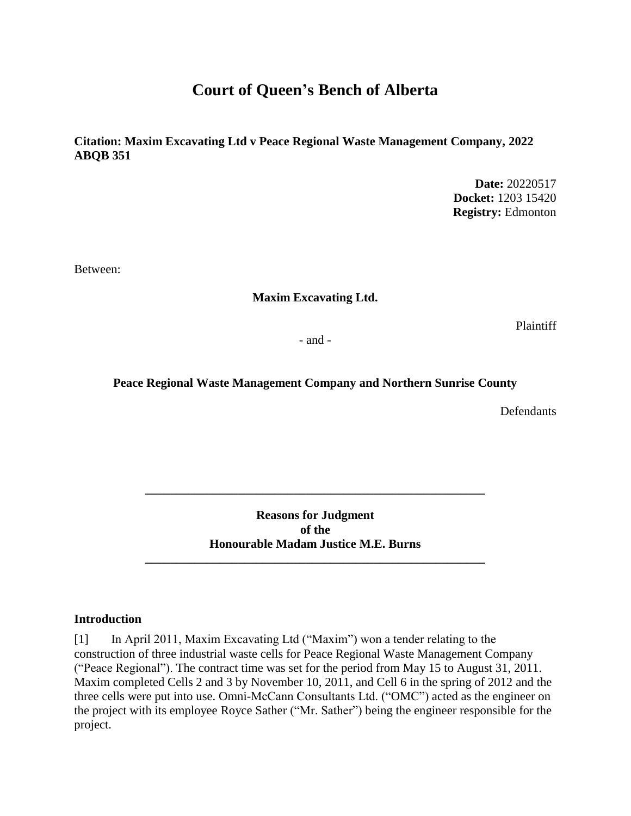# **Court of Queen's Bench of Alberta**

**Citation: Maxim Excavating Ltd v Peace Regional Waste Management Company, 2022 ABQB 351**

> **Date:** 20220517 **Docket:** 1203 15420 **Registry:** Edmonton

Between:

#### **Maxim Excavating Ltd.**

Plaintiff

- and -

#### **Peace Regional Waste Management Company and Northern Sunrise County**

**Defendants** 

**Reasons for Judgment of the Honourable Madam Justice M.E. Burns**

**\_\_\_\_\_\_\_\_\_\_\_\_\_\_\_\_\_\_\_\_\_\_\_\_\_\_\_\_\_\_\_\_\_\_\_\_\_\_\_\_\_\_\_\_\_\_\_\_\_\_\_\_\_\_\_**

**\_\_\_\_\_\_\_\_\_\_\_\_\_\_\_\_\_\_\_\_\_\_\_\_\_\_\_\_\_\_\_\_\_\_\_\_\_\_\_\_\_\_\_\_\_\_\_\_\_\_\_\_\_\_\_**

#### **Introduction**

[1] In April 2011, Maxim Excavating Ltd ("Maxim") won a tender relating to the construction of three industrial waste cells for Peace Regional Waste Management Company ("Peace Regional"). The contract time was set for the period from May 15 to August 31, 2011. Maxim completed Cells 2 and 3 by November 10, 2011, and Cell 6 in the spring of 2012 and the three cells were put into use. Omni-McCann Consultants Ltd. ("OMC") acted as the engineer on the project with its employee Royce Sather ("Mr. Sather") being the engineer responsible for the project.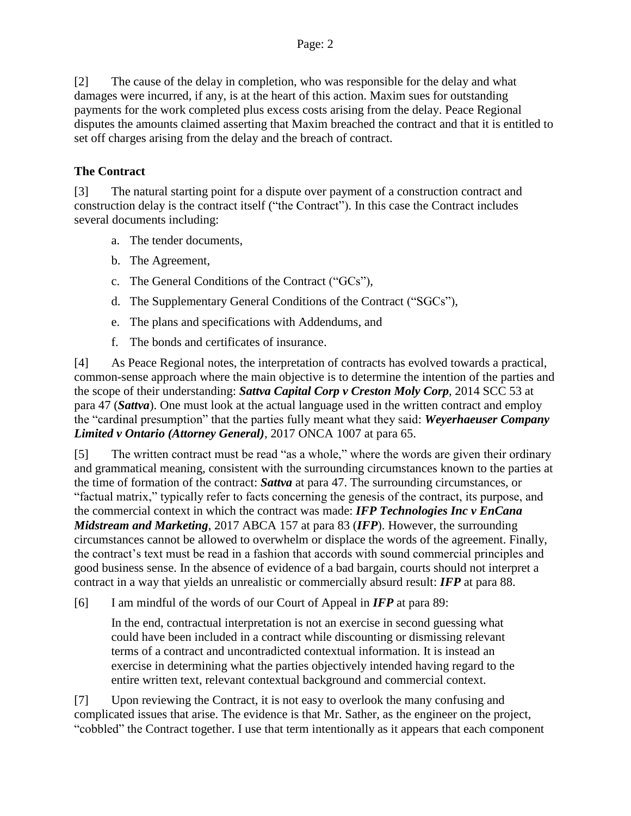[2] The cause of the delay in completion, who was responsible for the delay and what damages were incurred, if any, is at the heart of this action. Maxim sues for outstanding payments for the work completed plus excess costs arising from the delay. Peace Regional disputes the amounts claimed asserting that Maxim breached the contract and that it is entitled to set off charges arising from the delay and the breach of contract.

### **The Contract**

[3] The natural starting point for a dispute over payment of a construction contract and construction delay is the contract itself ("the Contract"). In this case the Contract includes several documents including:

- a. The tender documents,
- b. The Agreement,
- c. The General Conditions of the Contract ("GCs"),
- d. The Supplementary General Conditions of the Contract ("SGCs"),
- e. The plans and specifications with Addendums, and
- f. The bonds and certificates of insurance.

[4] As Peace Regional notes, the interpretation of contracts has evolved towards a practical, common-sense approach where the main objective is to determine the intention of the parties and the scope of their understanding: *Sattva Capital Corp v Creston Moly Corp*, 2014 SCC 53 at para 47 (*Sattva*). One must look at the actual language used in the written contract and employ the "cardinal presumption" that the parties fully meant what they said: *Weyerhaeuser Company Limited v Ontario (Attorney General)*, 2017 ONCA 1007 at para 65.

[5] The written contract must be read "as a whole," where the words are given their ordinary and grammatical meaning, consistent with the surrounding circumstances known to the parties at the time of formation of the contract: *Sattva* at para 47. The surrounding circumstances, or "factual matrix," typically refer to facts concerning the genesis of the contract, its purpose, and the commercial context in which the contract was made: *IFP Technologies Inc v EnCana Midstream and Marketing*, 2017 ABCA 157 at para 83 (*IFP*). However, the surrounding circumstances cannot be allowed to overwhelm or displace the words of the agreement. Finally, the contract's text must be read in a fashion that accords with sound commercial principles and good business sense. In the absence of evidence of a bad bargain, courts should not interpret a contract in a way that yields an unrealistic or commercially absurd result: *IFP* at para 88.

[6] I am mindful of the words of our Court of Appeal in *IFP* at para 89:

In the end, contractual interpretation is not an exercise in second guessing what could have been included in a contract while discounting or dismissing relevant terms of a contract and uncontradicted contextual information. It is instead an exercise in determining what the parties objectively intended having regard to the entire written text, relevant contextual background and commercial context.

[7] Upon reviewing the Contract, it is not easy to overlook the many confusing and complicated issues that arise. The evidence is that Mr. Sather, as the engineer on the project, "cobbled" the Contract together. I use that term intentionally as it appears that each component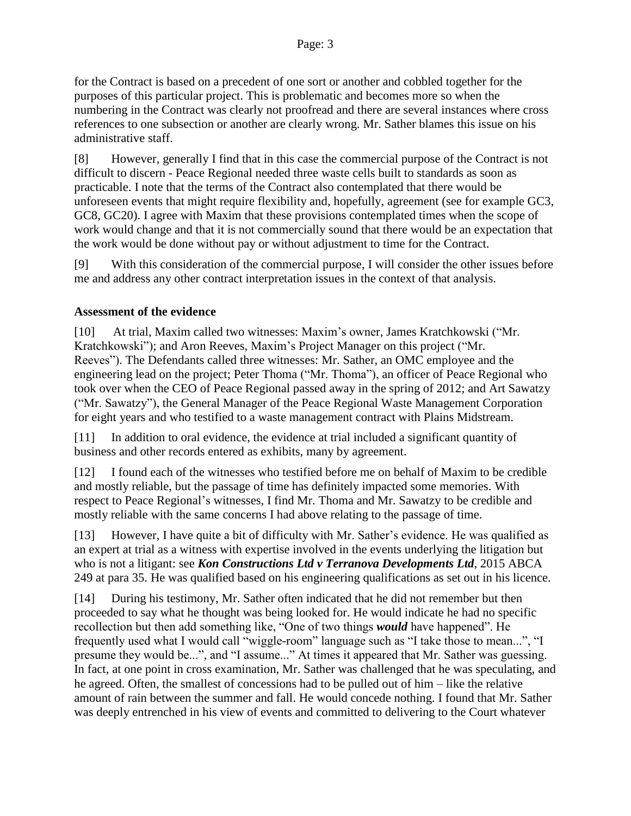for the Contract is based on a precedent of one sort or another and cobbled together for the purposes of this particular project. This is problematic and becomes more so when the numbering in the Contract was clearly not proofread and there are several instances where cross references to one subsection or another are clearly wrong. Mr. Sather blames this issue on his administrative staff.

[8] However, generally I find that in this case the commercial purpose of the Contract is not difficult to discern - Peace Regional needed three waste cells built to standards as soon as practicable. I note that the terms of the Contract also contemplated that there would be unforeseen events that might require flexibility and, hopefully, agreement (see for example GC3, GC8, GC20). I agree with Maxim that these provisions contemplated times when the scope of work would change and that it is not commercially sound that there would be an expectation that the work would be done without pay or without adjustment to time for the Contract.

[9] With this consideration of the commercial purpose, I will consider the other issues before me and address any other contract interpretation issues in the context of that analysis.

#### **Assessment of the evidence**

[10] At trial, Maxim called two witnesses: Maxim's owner, James Kratchkowski ("Mr. Kratchkowski"); and Aron Reeves, Maxim's Project Manager on this project ("Mr. Reeves"). The Defendants called three witnesses: Mr. Sather, an OMC employee and the engineering lead on the project; Peter Thoma ("Mr. Thoma"), an officer of Peace Regional who took over when the CEO of Peace Regional passed away in the spring of 2012; and Art Sawatzy ("Mr. Sawatzy"), the General Manager of the Peace Regional Waste Management Corporation for eight years and who testified to a waste management contract with Plains Midstream.

[11] In addition to oral evidence, the evidence at trial included a significant quantity of business and other records entered as exhibits, many by agreement.

[12] I found each of the witnesses who testified before me on behalf of Maxim to be credible and mostly reliable, but the passage of time has definitely impacted some memories. With respect to Peace Regional's witnesses, I find Mr. Thoma and Mr. Sawatzy to be credible and mostly reliable with the same concerns I had above relating to the passage of time.

[13] However, I have quite a bit of difficulty with Mr. Sather's evidence. He was qualified as an expert at trial as a witness with expertise involved in the events underlying the litigation but who is not a litigant: see *Kon Constructions Ltd v Terranova Developments Ltd*, 2015 ABCA 249 at para 35. He was qualified based on his engineering qualifications as set out in his licence.

[14] During his testimony, Mr. Sather often indicated that he did not remember but then proceeded to say what he thought was being looked for. He would indicate he had no specific recollection but then add something like, "One of two things *would* have happened". He frequently used what I would call "wiggle-room" language such as "I take those to mean...", "I presume they would be...", and "I assume..." At times it appeared that Mr. Sather was guessing. In fact, at one point in cross examination, Mr. Sather was challenged that he was speculating, and he agreed. Often, the smallest of concessions had to be pulled out of him – like the relative amount of rain between the summer and fall. He would concede nothing. I found that Mr. Sather was deeply entrenched in his view of events and committed to delivering to the Court whatever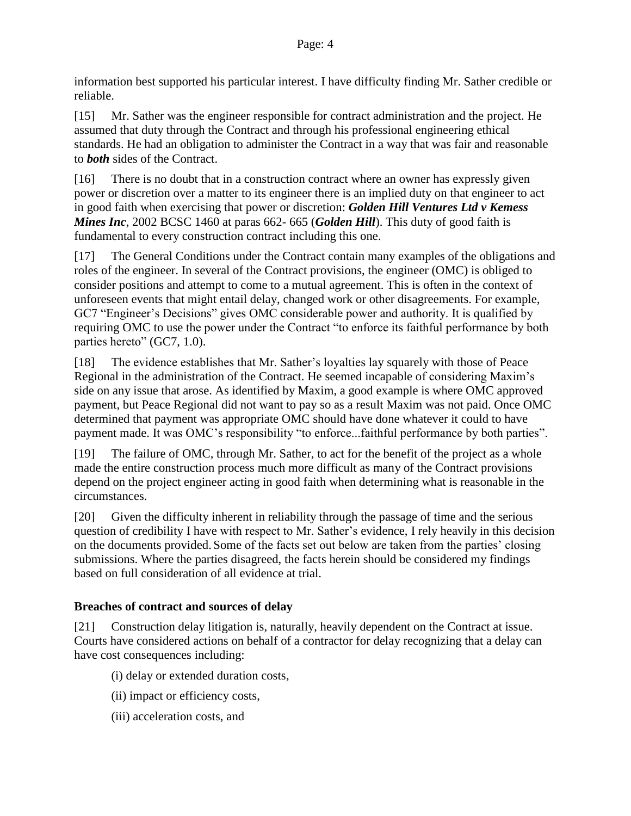information best supported his particular interest. I have difficulty finding Mr. Sather credible or reliable.

[15] Mr. Sather was the engineer responsible for contract administration and the project. He assumed that duty through the Contract and through his professional engineering ethical standards. He had an obligation to administer the Contract in a way that was fair and reasonable to *both* sides of the Contract.

[16] There is no doubt that in a construction contract where an owner has expressly given power or discretion over a matter to its engineer there is an implied duty on that engineer to act in good faith when exercising that power or discretion: *Golden Hill Ventures Ltd v Kemess Mines Inc*, 2002 BCSC 1460 at paras 662- 665 (*Golden Hill*). This duty of good faith is fundamental to every construction contract including this one.

[17] The General Conditions under the Contract contain many examples of the obligations and roles of the engineer. In several of the Contract provisions, the engineer (OMC) is obliged to consider positions and attempt to come to a mutual agreement. This is often in the context of unforeseen events that might entail delay, changed work or other disagreements. For example, GC7 "Engineer's Decisions" gives OMC considerable power and authority. It is qualified by requiring OMC to use the power under the Contract "to enforce its faithful performance by both parties hereto" (GC7, 1.0).

[18] The evidence establishes that Mr. Sather's loyalties lay squarely with those of Peace Regional in the administration of the Contract. He seemed incapable of considering Maxim's side on any issue that arose. As identified by Maxim, a good example is where OMC approved payment, but Peace Regional did not want to pay so as a result Maxim was not paid. Once OMC determined that payment was appropriate OMC should have done whatever it could to have payment made. It was OMC's responsibility "to enforce...faithful performance by both parties".

[19] The failure of OMC, through Mr. Sather, to act for the benefit of the project as a whole made the entire construction process much more difficult as many of the Contract provisions depend on the project engineer acting in good faith when determining what is reasonable in the circumstances.

[20] Given the difficulty inherent in reliability through the passage of time and the serious question of credibility I have with respect to Mr. Sather's evidence, I rely heavily in this decision on the documents provided. Some of the facts set out below are taken from the parties' closing submissions. Where the parties disagreed, the facts herein should be considered my findings based on full consideration of all evidence at trial.

### **Breaches of contract and sources of delay**

[21] Construction delay litigation is, naturally, heavily dependent on the Contract at issue. Courts have considered actions on behalf of a contractor for delay recognizing that a delay can have cost consequences including:

- (i) delay or extended duration costs,
- (ii) impact or efficiency costs,
- (iii) acceleration costs, and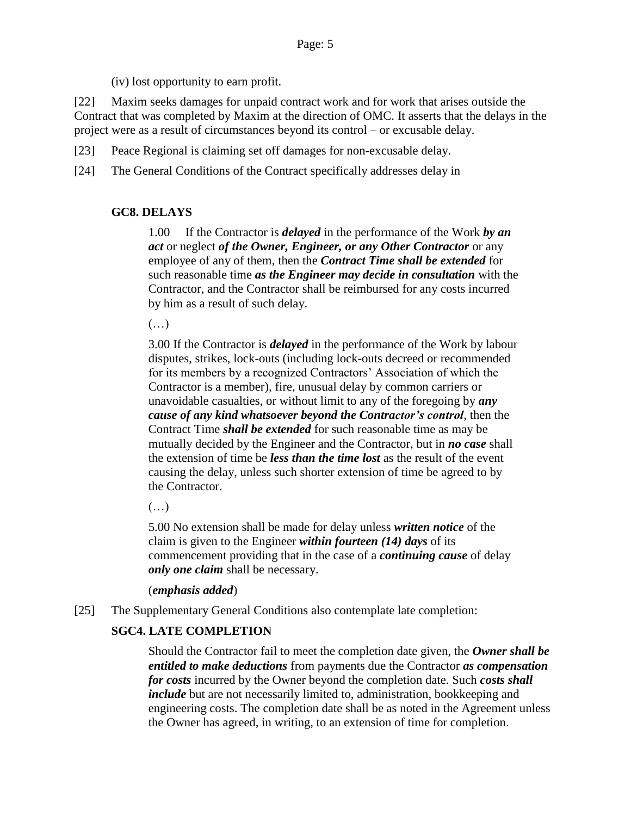(iv) lost opportunity to earn profit.

[22] Maxim seeks damages for unpaid contract work and for work that arises outside the Contract that was completed by Maxim at the direction of OMC. It asserts that the delays in the project were as a result of circumstances beyond its control – or excusable delay.

[23] Peace Regional is claiming set off damages for non-excusable delay.

[24] The General Conditions of the Contract specifically addresses delay in

### **GC8. DELAYS**

1.00 If the Contractor is *delayed* in the performance of the Work *by an act* or neglect *of the Owner, Engineer, or any Other Contractor* or any employee of any of them, then the *Contract Time shall be extended* for such reasonable time *as the Engineer may decide in consultation* with the Contractor, and the Contractor shall be reimbursed for any costs incurred by him as a result of such delay.

(…)

3.00 If the Contractor is *delayed* in the performance of the Work by labour disputes, strikes, lock-outs (including lock-outs decreed or recommended for its members by a recognized Contractors' Association of which the Contractor is a member), fire, unusual delay by common carriers or unavoidable casualties, or without limit to any of the foregoing by *any cause of any kind whatsoever beyond the Contractor's control*, then the Contract Time *shall be extended* for such reasonable time as may be mutually decided by the Engineer and the Contractor, but in *no case* shall the extension of time be *less than the time lost* as the result of the event causing the delay, unless such shorter extension of time be agreed to by the Contractor.

 $(\ldots)$ 

5.00 No extension shall be made for delay unless *written notice* of the claim is given to the Engineer *within fourteen (14) days* of its commencement providing that in the case of a *continuing cause* of delay *only one claim* shall be necessary.

#### (*emphasis added*)

[25] The Supplementary General Conditions also contemplate late completion:

### **SGC4. LATE COMPLETION**

Should the Contractor fail to meet the completion date given, the *Owner shall be entitled to make deductions* from payments due the Contractor *as compensation for costs* incurred by the Owner beyond the completion date. Such *costs shall include* but are not necessarily limited to, administration, bookkeeping and engineering costs. The completion date shall be as noted in the Agreement unless the Owner has agreed, in writing, to an extension of time for completion.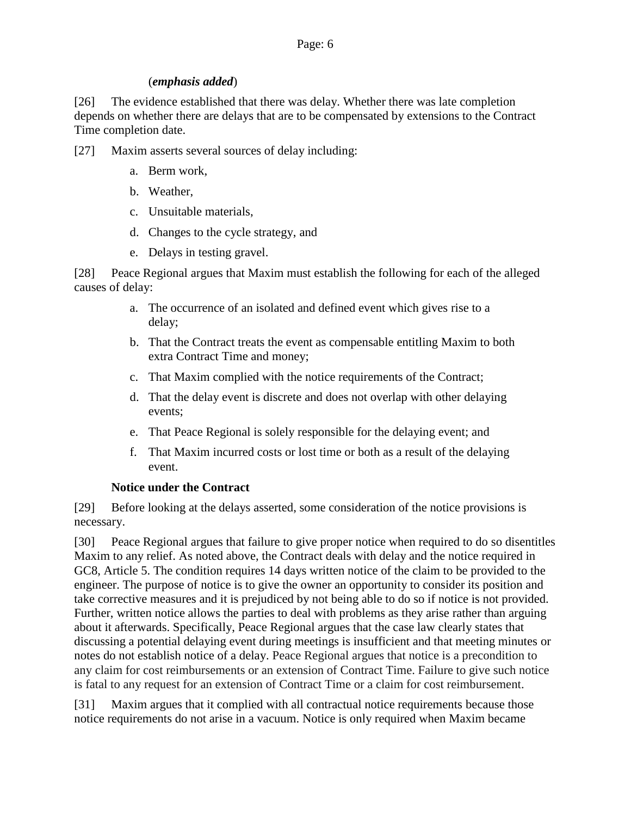#### (*emphasis added*)

[26] The evidence established that there was delay. Whether there was late completion depends on whether there are delays that are to be compensated by extensions to the Contract Time completion date.

- [27] Maxim asserts several sources of delay including:
	- a. Berm work,
	- b. Weather,
	- c. Unsuitable materials,
	- d. Changes to the cycle strategy, and
	- e. Delays in testing gravel.

[28] Peace Regional argues that Maxim must establish the following for each of the alleged causes of delay:

- a. The occurrence of an isolated and defined event which gives rise to a delay;
- b. That the Contract treats the event as compensable entitling Maxim to both extra Contract Time and money;
- c. That Maxim complied with the notice requirements of the Contract;
- d. That the delay event is discrete and does not overlap with other delaying events;
- e. That Peace Regional is solely responsible for the delaying event; and
- f. That Maxim incurred costs or lost time or both as a result of the delaying event.

#### **Notice under the Contract**

[29] Before looking at the delays asserted, some consideration of the notice provisions is necessary.

[30] Peace Regional argues that failure to give proper notice when required to do so disentitles Maxim to any relief. As noted above, the Contract deals with delay and the notice required in GC8, Article 5. The condition requires 14 days written notice of the claim to be provided to the engineer. The purpose of notice is to give the owner an opportunity to consider its position and take corrective measures and it is prejudiced by not being able to do so if notice is not provided. Further, written notice allows the parties to deal with problems as they arise rather than arguing about it afterwards. Specifically, Peace Regional argues that the case law clearly states that discussing a potential delaying event during meetings is insufficient and that meeting minutes or notes do not establish notice of a delay. Peace Regional argues that notice is a precondition to any claim for cost reimbursements or an extension of Contract Time. Failure to give such notice is fatal to any request for an extension of Contract Time or a claim for cost reimbursement.

[31] Maxim argues that it complied with all contractual notice requirements because those notice requirements do not arise in a vacuum. Notice is only required when Maxim became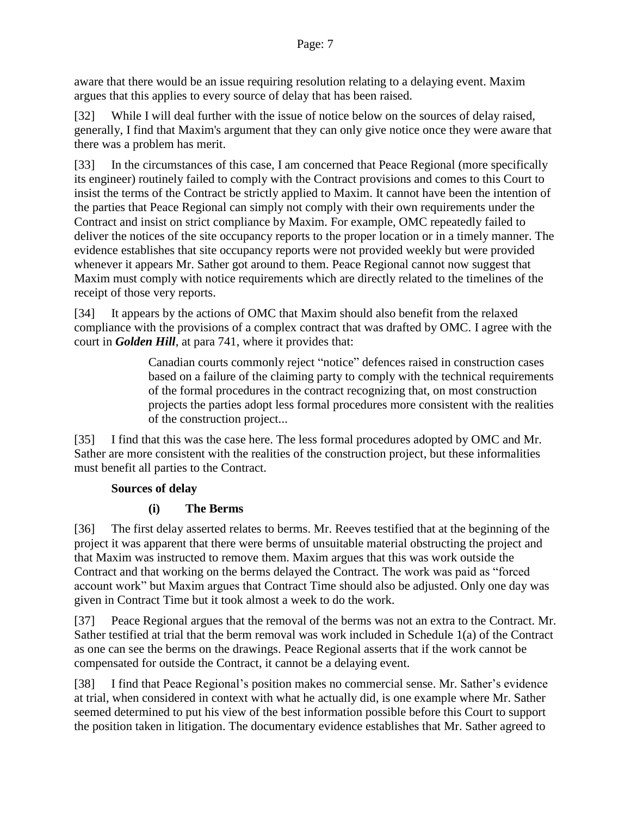aware that there would be an issue requiring resolution relating to a delaying event. Maxim argues that this applies to every source of delay that has been raised.

[32] While I will deal further with the issue of notice below on the sources of delay raised, generally, I find that Maxim's argument that they can only give notice once they were aware that there was a problem has merit.

[33] In the circumstances of this case, I am concerned that Peace Regional (more specifically its engineer) routinely failed to comply with the Contract provisions and comes to this Court to insist the terms of the Contract be strictly applied to Maxim. It cannot have been the intention of the parties that Peace Regional can simply not comply with their own requirements under the Contract and insist on strict compliance by Maxim. For example, OMC repeatedly failed to deliver the notices of the site occupancy reports to the proper location or in a timely manner. The evidence establishes that site occupancy reports were not provided weekly but were provided whenever it appears Mr. Sather got around to them. Peace Regional cannot now suggest that Maxim must comply with notice requirements which are directly related to the timelines of the receipt of those very reports.

[34] It appears by the actions of OMC that Maxim should also benefit from the relaxed compliance with the provisions of a complex contract that was drafted by OMC. I agree with the court in *Golden Hill*, at para 741, where it provides that:

> Canadian courts commonly reject "notice" defences raised in construction cases based on a failure of the claiming party to comply with the technical requirements of the formal procedures in the contract recognizing that, on most construction projects the parties adopt less formal procedures more consistent with the realities of the construction project...

[35] I find that this was the case here. The less formal procedures adopted by OMC and Mr. Sather are more consistent with the realities of the construction project, but these informalities must benefit all parties to the Contract.

### **Sources of delay**

### **(i) The Berms**

[36] The first delay asserted relates to berms. Mr. Reeves testified that at the beginning of the project it was apparent that there were berms of unsuitable material obstructing the project and that Maxim was instructed to remove them. Maxim argues that this was work outside the Contract and that working on the berms delayed the Contract. The work was paid as "forced account work" but Maxim argues that Contract Time should also be adjusted. Only one day was given in Contract Time but it took almost a week to do the work.

[37] Peace Regional argues that the removal of the berms was not an extra to the Contract. Mr. Sather testified at trial that the berm removal was work included in Schedule 1(a) of the Contract as one can see the berms on the drawings. Peace Regional asserts that if the work cannot be compensated for outside the Contract, it cannot be a delaying event.

[38] I find that Peace Regional's position makes no commercial sense. Mr. Sather's evidence at trial, when considered in context with what he actually did, is one example where Mr. Sather seemed determined to put his view of the best information possible before this Court to support the position taken in litigation. The documentary evidence establishes that Mr. Sather agreed to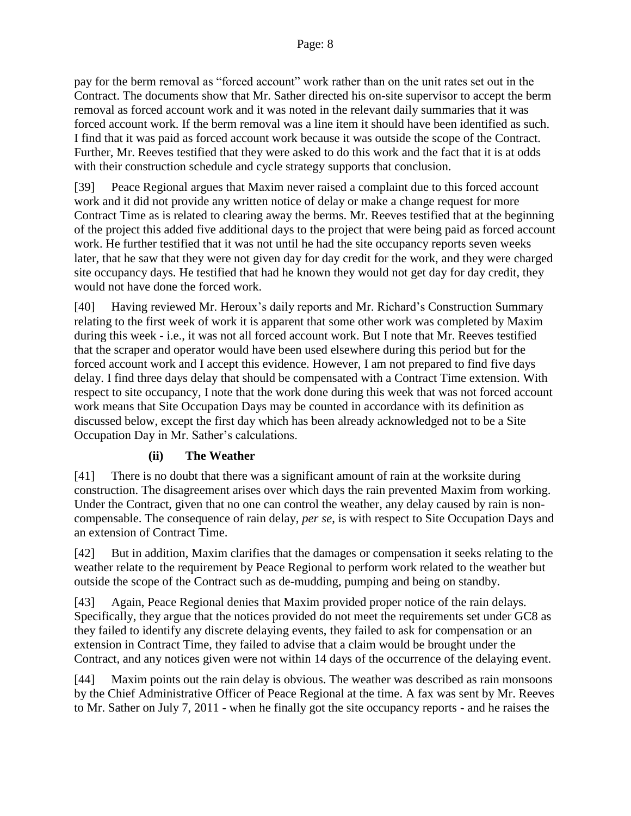pay for the berm removal as "forced account" work rather than on the unit rates set out in the Contract. The documents show that Mr. Sather directed his on-site supervisor to accept the berm removal as forced account work and it was noted in the relevant daily summaries that it was forced account work. If the berm removal was a line item it should have been identified as such. I find that it was paid as forced account work because it was outside the scope of the Contract. Further, Mr. Reeves testified that they were asked to do this work and the fact that it is at odds with their construction schedule and cycle strategy supports that conclusion.

[39] Peace Regional argues that Maxim never raised a complaint due to this forced account work and it did not provide any written notice of delay or make a change request for more Contract Time as is related to clearing away the berms. Mr. Reeves testified that at the beginning of the project this added five additional days to the project that were being paid as forced account work. He further testified that it was not until he had the site occupancy reports seven weeks later, that he saw that they were not given day for day credit for the work, and they were charged site occupancy days. He testified that had he known they would not get day for day credit, they would not have done the forced work.

[40] Having reviewed Mr. Heroux's daily reports and Mr. Richard's Construction Summary relating to the first week of work it is apparent that some other work was completed by Maxim during this week - i.e., it was not all forced account work. But I note that Mr. Reeves testified that the scraper and operator would have been used elsewhere during this period but for the forced account work and I accept this evidence. However, I am not prepared to find five days delay. I find three days delay that should be compensated with a Contract Time extension. With respect to site occupancy, I note that the work done during this week that was not forced account work means that Site Occupation Days may be counted in accordance with its definition as discussed below, except the first day which has been already acknowledged not to be a Site Occupation Day in Mr. Sather's calculations.

#### **(ii) The Weather**

[41] There is no doubt that there was a significant amount of rain at the worksite during construction. The disagreement arises over which days the rain prevented Maxim from working. Under the Contract, given that no one can control the weather, any delay caused by rain is noncompensable. The consequence of rain delay, *per se*, is with respect to Site Occupation Days and an extension of Contract Time.

[42] But in addition, Maxim clarifies that the damages or compensation it seeks relating to the weather relate to the requirement by Peace Regional to perform work related to the weather but outside the scope of the Contract such as de-mudding, pumping and being on standby.

[43] Again, Peace Regional denies that Maxim provided proper notice of the rain delays. Specifically, they argue that the notices provided do not meet the requirements set under GC8 as they failed to identify any discrete delaying events, they failed to ask for compensation or an extension in Contract Time, they failed to advise that a claim would be brought under the Contract, and any notices given were not within 14 days of the occurrence of the delaying event.

[44] Maxim points out the rain delay is obvious. The weather was described as rain monsoons by the Chief Administrative Officer of Peace Regional at the time. A fax was sent by Mr. Reeves to Mr. Sather on July 7, 2011 - when he finally got the site occupancy reports - and he raises the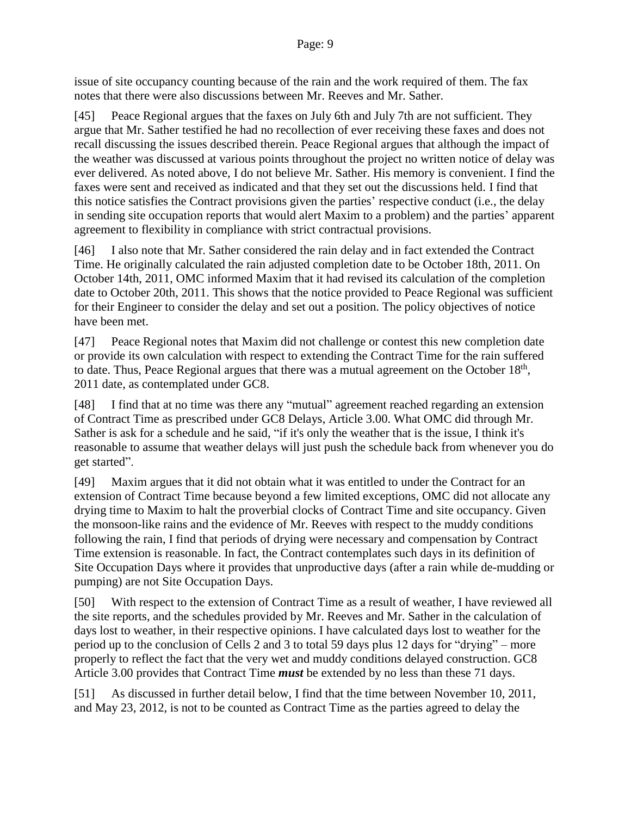issue of site occupancy counting because of the rain and the work required of them. The fax notes that there were also discussions between Mr. Reeves and Mr. Sather.

[45] Peace Regional argues that the faxes on July 6th and July 7th are not sufficient. They argue that Mr. Sather testified he had no recollection of ever receiving these faxes and does not recall discussing the issues described therein. Peace Regional argues that although the impact of the weather was discussed at various points throughout the project no written notice of delay was ever delivered. As noted above, I do not believe Mr. Sather. His memory is convenient. I find the faxes were sent and received as indicated and that they set out the discussions held. I find that this notice satisfies the Contract provisions given the parties' respective conduct (i.e., the delay in sending site occupation reports that would alert Maxim to a problem) and the parties' apparent agreement to flexibility in compliance with strict contractual provisions.

[46] I also note that Mr. Sather considered the rain delay and in fact extended the Contract Time. He originally calculated the rain adjusted completion date to be October 18th, 2011. On October 14th, 2011, OMC informed Maxim that it had revised its calculation of the completion date to October 20th, 2011. This shows that the notice provided to Peace Regional was sufficient for their Engineer to consider the delay and set out a position. The policy objectives of notice have been met.

[47] Peace Regional notes that Maxim did not challenge or contest this new completion date or provide its own calculation with respect to extending the Contract Time for the rain suffered to date. Thus, Peace Regional argues that there was a mutual agreement on the October  $18<sup>th</sup>$ , 2011 date, as contemplated under GC8.

[48] I find that at no time was there any "mutual" agreement reached regarding an extension of Contract Time as prescribed under GC8 Delays, Article 3.00. What OMC did through Mr. Sather is ask for a schedule and he said, "if it's only the weather that is the issue, I think it's reasonable to assume that weather delays will just push the schedule back from whenever you do get started".

[49] Maxim argues that it did not obtain what it was entitled to under the Contract for an extension of Contract Time because beyond a few limited exceptions, OMC did not allocate any drying time to Maxim to halt the proverbial clocks of Contract Time and site occupancy. Given the monsoon-like rains and the evidence of Mr. Reeves with respect to the muddy conditions following the rain, I find that periods of drying were necessary and compensation by Contract Time extension is reasonable. In fact, the Contract contemplates such days in its definition of Site Occupation Days where it provides that unproductive days (after a rain while de-mudding or pumping) are not Site Occupation Days.

[50] With respect to the extension of Contract Time as a result of weather, I have reviewed all the site reports, and the schedules provided by Mr. Reeves and Mr. Sather in the calculation of days lost to weather, in their respective opinions. I have calculated days lost to weather for the period up to the conclusion of Cells 2 and 3 to total 59 days plus 12 days for "drying" – more properly to reflect the fact that the very wet and muddy conditions delayed construction. GC8 Article 3.00 provides that Contract Time *must* be extended by no less than these 71 days.

[51] As discussed in further detail below, I find that the time between November 10, 2011, and May 23, 2012, is not to be counted as Contract Time as the parties agreed to delay the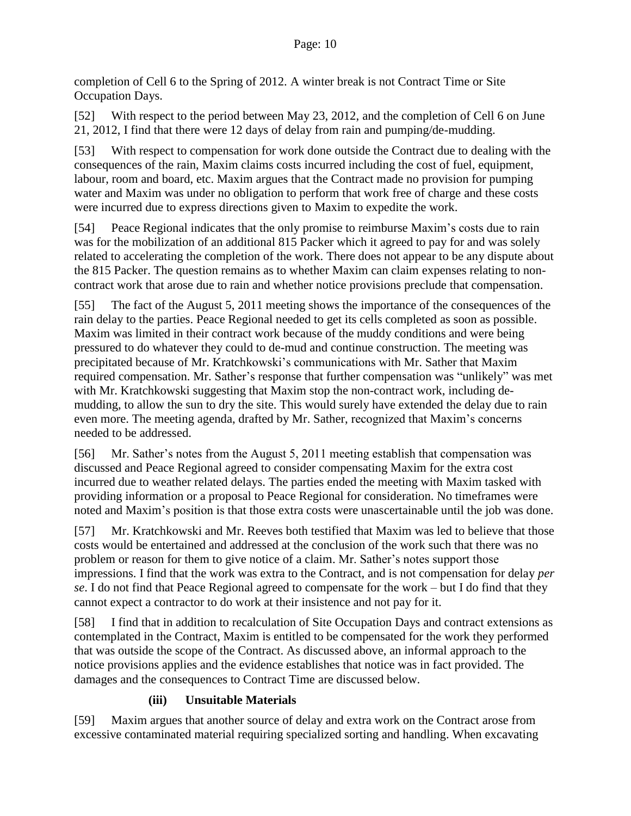completion of Cell 6 to the Spring of 2012. A winter break is not Contract Time or Site Occupation Days.

[52] With respect to the period between May 23, 2012, and the completion of Cell 6 on June 21, 2012, I find that there were 12 days of delay from rain and pumping/de-mudding.

[53] With respect to compensation for work done outside the Contract due to dealing with the consequences of the rain, Maxim claims costs incurred including the cost of fuel, equipment, labour, room and board, etc. Maxim argues that the Contract made no provision for pumping water and Maxim was under no obligation to perform that work free of charge and these costs were incurred due to express directions given to Maxim to expedite the work.

[54] Peace Regional indicates that the only promise to reimburse Maxim's costs due to rain was for the mobilization of an additional 815 Packer which it agreed to pay for and was solely related to accelerating the completion of the work. There does not appear to be any dispute about the 815 Packer. The question remains as to whether Maxim can claim expenses relating to noncontract work that arose due to rain and whether notice provisions preclude that compensation.

[55] The fact of the August 5, 2011 meeting shows the importance of the consequences of the rain delay to the parties. Peace Regional needed to get its cells completed as soon as possible. Maxim was limited in their contract work because of the muddy conditions and were being pressured to do whatever they could to de-mud and continue construction. The meeting was precipitated because of Mr. Kratchkowski's communications with Mr. Sather that Maxim required compensation. Mr. Sather's response that further compensation was "unlikely" was met with Mr. Kratchkowski suggesting that Maxim stop the non-contract work, including demudding, to allow the sun to dry the site. This would surely have extended the delay due to rain even more. The meeting agenda, drafted by Mr. Sather, recognized that Maxim's concerns needed to be addressed.

[56] Mr. Sather's notes from the August 5, 2011 meeting establish that compensation was discussed and Peace Regional agreed to consider compensating Maxim for the extra cost incurred due to weather related delays. The parties ended the meeting with Maxim tasked with providing information or a proposal to Peace Regional for consideration. No timeframes were noted and Maxim's position is that those extra costs were unascertainable until the job was done.

[57] Mr. Kratchkowski and Mr. Reeves both testified that Maxim was led to believe that those costs would be entertained and addressed at the conclusion of the work such that there was no problem or reason for them to give notice of a claim. Mr. Sather's notes support those impressions. I find that the work was extra to the Contract, and is not compensation for delay *per se*. I do not find that Peace Regional agreed to compensate for the work – but I do find that they cannot expect a contractor to do work at their insistence and not pay for it.

[58] I find that in addition to recalculation of Site Occupation Days and contract extensions as contemplated in the Contract, Maxim is entitled to be compensated for the work they performed that was outside the scope of the Contract. As discussed above, an informal approach to the notice provisions applies and the evidence establishes that notice was in fact provided. The damages and the consequences to Contract Time are discussed below.

### **(iii) Unsuitable Materials**

[59] Maxim argues that another source of delay and extra work on the Contract arose from excessive contaminated material requiring specialized sorting and handling. When excavating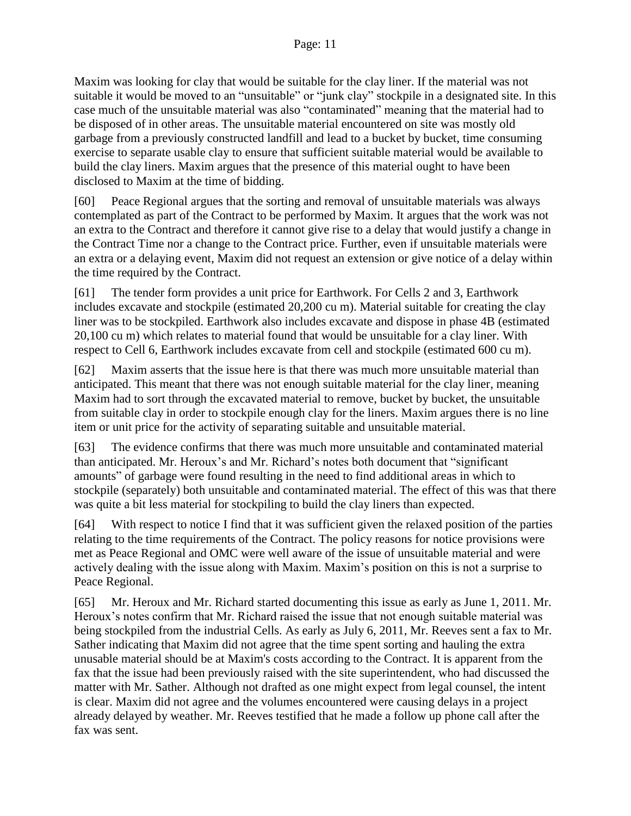#### Page: 11

Maxim was looking for clay that would be suitable for the clay liner. If the material was not suitable it would be moved to an "unsuitable" or "junk clay" stockpile in a designated site. In this case much of the unsuitable material was also "contaminated" meaning that the material had to be disposed of in other areas. The unsuitable material encountered on site was mostly old garbage from a previously constructed landfill and lead to a bucket by bucket, time consuming exercise to separate usable clay to ensure that sufficient suitable material would be available to build the clay liners. Maxim argues that the presence of this material ought to have been disclosed to Maxim at the time of bidding.

[60] Peace Regional argues that the sorting and removal of unsuitable materials was always contemplated as part of the Contract to be performed by Maxim. It argues that the work was not an extra to the Contract and therefore it cannot give rise to a delay that would justify a change in the Contract Time nor a change to the Contract price. Further, even if unsuitable materials were an extra or a delaying event, Maxim did not request an extension or give notice of a delay within the time required by the Contract.

[61] The tender form provides a unit price for Earthwork. For Cells 2 and 3, Earthwork includes excavate and stockpile (estimated 20,200 cu m). Material suitable for creating the clay liner was to be stockpiled. Earthwork also includes excavate and dispose in phase 4B (estimated 20,100 cu m) which relates to material found that would be unsuitable for a clay liner. With respect to Cell 6, Earthwork includes excavate from cell and stockpile (estimated 600 cu m).

[62] Maxim asserts that the issue here is that there was much more unsuitable material than anticipated. This meant that there was not enough suitable material for the clay liner, meaning Maxim had to sort through the excavated material to remove, bucket by bucket, the unsuitable from suitable clay in order to stockpile enough clay for the liners. Maxim argues there is no line item or unit price for the activity of separating suitable and unsuitable material.

[63] The evidence confirms that there was much more unsuitable and contaminated material than anticipated. Mr. Heroux's and Mr. Richard's notes both document that "significant amounts" of garbage were found resulting in the need to find additional areas in which to stockpile (separately) both unsuitable and contaminated material. The effect of this was that there was quite a bit less material for stockpiling to build the clay liners than expected.

[64] With respect to notice I find that it was sufficient given the relaxed position of the parties relating to the time requirements of the Contract. The policy reasons for notice provisions were met as Peace Regional and OMC were well aware of the issue of unsuitable material and were actively dealing with the issue along with Maxim. Maxim's position on this is not a surprise to Peace Regional.

[65] Mr. Heroux and Mr. Richard started documenting this issue as early as June 1, 2011. Mr. Heroux's notes confirm that Mr. Richard raised the issue that not enough suitable material was being stockpiled from the industrial Cells. As early as July 6, 2011, Mr. Reeves sent a fax to Mr. Sather indicating that Maxim did not agree that the time spent sorting and hauling the extra unusable material should be at Maxim's costs according to the Contract. It is apparent from the fax that the issue had been previously raised with the site superintendent, who had discussed the matter with Mr. Sather. Although not drafted as one might expect from legal counsel, the intent is clear. Maxim did not agree and the volumes encountered were causing delays in a project already delayed by weather. Mr. Reeves testified that he made a follow up phone call after the fax was sent.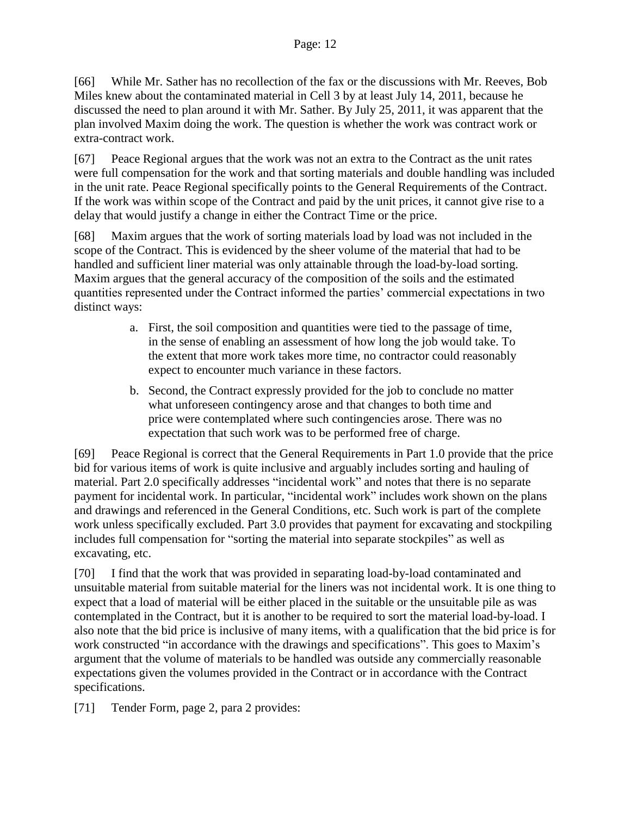[66] While Mr. Sather has no recollection of the fax or the discussions with Mr. Reeves, Bob Miles knew about the contaminated material in Cell 3 by at least July 14, 2011, because he discussed the need to plan around it with Mr. Sather. By July 25, 2011, it was apparent that the plan involved Maxim doing the work. The question is whether the work was contract work or extra-contract work.

[67] Peace Regional argues that the work was not an extra to the Contract as the unit rates were full compensation for the work and that sorting materials and double handling was included in the unit rate. Peace Regional specifically points to the General Requirements of the Contract. If the work was within scope of the Contract and paid by the unit prices, it cannot give rise to a delay that would justify a change in either the Contract Time or the price.

[68] Maxim argues that the work of sorting materials load by load was not included in the scope of the Contract. This is evidenced by the sheer volume of the material that had to be handled and sufficient liner material was only attainable through the load-by-load sorting. Maxim argues that the general accuracy of the composition of the soils and the estimated quantities represented under the Contract informed the parties' commercial expectations in two distinct ways:

- a. First, the soil composition and quantities were tied to the passage of time, in the sense of enabling an assessment of how long the job would take. To the extent that more work takes more time, no contractor could reasonably expect to encounter much variance in these factors.
- b. Second, the Contract expressly provided for the job to conclude no matter what unforeseen contingency arose and that changes to both time and price were contemplated where such contingencies arose. There was no expectation that such work was to be performed free of charge.

[69] Peace Regional is correct that the General Requirements in Part 1.0 provide that the price bid for various items of work is quite inclusive and arguably includes sorting and hauling of material. Part 2.0 specifically addresses "incidental work" and notes that there is no separate payment for incidental work. In particular, "incidental work" includes work shown on the plans and drawings and referenced in the General Conditions, etc. Such work is part of the complete work unless specifically excluded. Part 3.0 provides that payment for excavating and stockpiling includes full compensation for "sorting the material into separate stockpiles" as well as excavating, etc.

[70] I find that the work that was provided in separating load-by-load contaminated and unsuitable material from suitable material for the liners was not incidental work. It is one thing to expect that a load of material will be either placed in the suitable or the unsuitable pile as was contemplated in the Contract, but it is another to be required to sort the material load-by-load. I also note that the bid price is inclusive of many items, with a qualification that the bid price is for work constructed "in accordance with the drawings and specifications". This goes to Maxim's argument that the volume of materials to be handled was outside any commercially reasonable expectations given the volumes provided in the Contract or in accordance with the Contract specifications.

[71] Tender Form, page 2, para 2 provides: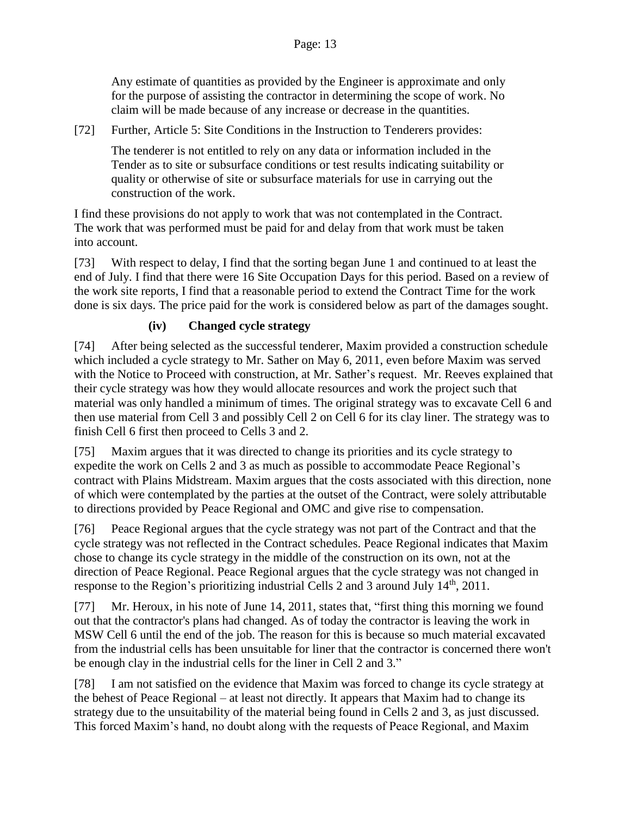Any estimate of quantities as provided by the Engineer is approximate and only for the purpose of assisting the contractor in determining the scope of work. No claim will be made because of any increase or decrease in the quantities.

[72] Further, Article 5: Site Conditions in the Instruction to Tenderers provides:

The tenderer is not entitled to rely on any data or information included in the Tender as to site or subsurface conditions or test results indicating suitability or quality or otherwise of site or subsurface materials for use in carrying out the construction of the work.

I find these provisions do not apply to work that was not contemplated in the Contract. The work that was performed must be paid for and delay from that work must be taken into account.

[73] With respect to delay, I find that the sorting began June 1 and continued to at least the end of July. I find that there were 16 Site Occupation Days for this period. Based on a review of the work site reports, I find that a reasonable period to extend the Contract Time for the work done is six days. The price paid for the work is considered below as part of the damages sought.

### **(iv) Changed cycle strategy**

[74] After being selected as the successful tenderer, Maxim provided a construction schedule which included a cycle strategy to Mr. Sather on May 6, 2011, even before Maxim was served with the Notice to Proceed with construction, at Mr. Sather's request. Mr. Reeves explained that their cycle strategy was how they would allocate resources and work the project such that material was only handled a minimum of times. The original strategy was to excavate Cell 6 and then use material from Cell 3 and possibly Cell 2 on Cell 6 for its clay liner. The strategy was to finish Cell 6 first then proceed to Cells 3 and 2.

[75] Maxim argues that it was directed to change its priorities and its cycle strategy to expedite the work on Cells 2 and 3 as much as possible to accommodate Peace Regional's contract with Plains Midstream. Maxim argues that the costs associated with this direction, none of which were contemplated by the parties at the outset of the Contract, were solely attributable to directions provided by Peace Regional and OMC and give rise to compensation.

[76] Peace Regional argues that the cycle strategy was not part of the Contract and that the cycle strategy was not reflected in the Contract schedules. Peace Regional indicates that Maxim chose to change its cycle strategy in the middle of the construction on its own, not at the direction of Peace Regional. Peace Regional argues that the cycle strategy was not changed in response to the Region's prioritizing industrial Cells 2 and 3 around July  $14<sup>th</sup>$ , 2011.

[77] Mr. Heroux, in his note of June 14, 2011, states that, "first thing this morning we found out that the contractor's plans had changed. As of today the contractor is leaving the work in MSW Cell 6 until the end of the job. The reason for this is because so much material excavated from the industrial cells has been unsuitable for liner that the contractor is concerned there won't be enough clay in the industrial cells for the liner in Cell 2 and 3."

[78] I am not satisfied on the evidence that Maxim was forced to change its cycle strategy at the behest of Peace Regional – at least not directly. It appears that Maxim had to change its strategy due to the unsuitability of the material being found in Cells 2 and 3, as just discussed. This forced Maxim's hand, no doubt along with the requests of Peace Regional, and Maxim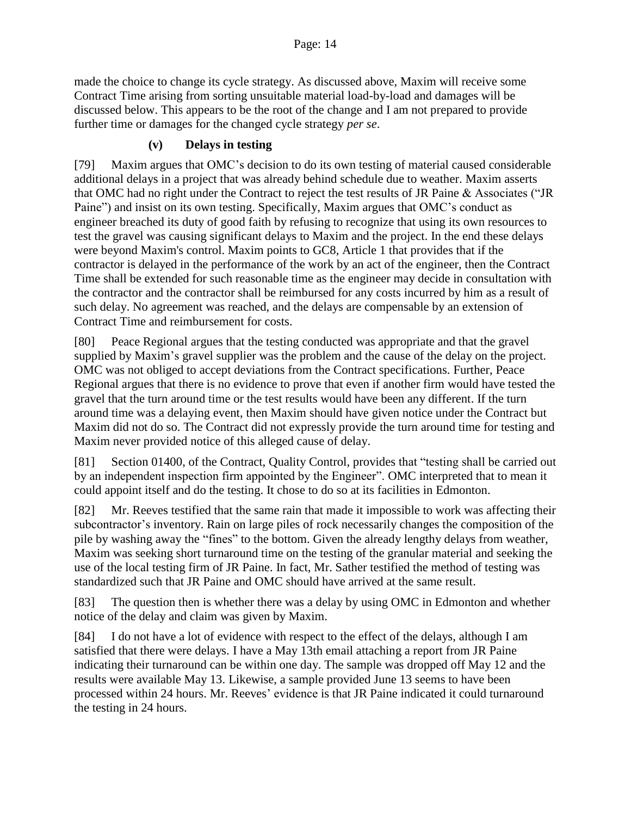made the choice to change its cycle strategy. As discussed above, Maxim will receive some Contract Time arising from sorting unsuitable material load-by-load and damages will be discussed below. This appears to be the root of the change and I am not prepared to provide further time or damages for the changed cycle strategy *per se*.

### **(v) Delays in testing**

[79] Maxim argues that OMC's decision to do its own testing of material caused considerable additional delays in a project that was already behind schedule due to weather. Maxim asserts that OMC had no right under the Contract to reject the test results of JR Paine & Associates ("JR Paine") and insist on its own testing. Specifically, Maxim argues that OMC's conduct as engineer breached its duty of good faith by refusing to recognize that using its own resources to test the gravel was causing significant delays to Maxim and the project. In the end these delays were beyond Maxim's control. Maxim points to GC8, Article 1 that provides that if the contractor is delayed in the performance of the work by an act of the engineer, then the Contract Time shall be extended for such reasonable time as the engineer may decide in consultation with the contractor and the contractor shall be reimbursed for any costs incurred by him as a result of such delay. No agreement was reached, and the delays are compensable by an extension of Contract Time and reimbursement for costs.

[80] Peace Regional argues that the testing conducted was appropriate and that the gravel supplied by Maxim's gravel supplier was the problem and the cause of the delay on the project. OMC was not obliged to accept deviations from the Contract specifications. Further, Peace Regional argues that there is no evidence to prove that even if another firm would have tested the gravel that the turn around time or the test results would have been any different. If the turn around time was a delaying event, then Maxim should have given notice under the Contract but Maxim did not do so. The Contract did not expressly provide the turn around time for testing and Maxim never provided notice of this alleged cause of delay.

[81] Section 01400, of the Contract, Quality Control, provides that "testing shall be carried out by an independent inspection firm appointed by the Engineer". OMC interpreted that to mean it could appoint itself and do the testing. It chose to do so at its facilities in Edmonton.

[82] Mr. Reeves testified that the same rain that made it impossible to work was affecting their subcontractor's inventory. Rain on large piles of rock necessarily changes the composition of the pile by washing away the "fines" to the bottom. Given the already lengthy delays from weather, Maxim was seeking short turnaround time on the testing of the granular material and seeking the use of the local testing firm of JR Paine. In fact, Mr. Sather testified the method of testing was standardized such that JR Paine and OMC should have arrived at the same result.

[83] The question then is whether there was a delay by using OMC in Edmonton and whether notice of the delay and claim was given by Maxim.

[84] I do not have a lot of evidence with respect to the effect of the delays, although I am satisfied that there were delays. I have a May 13th email attaching a report from JR Paine indicating their turnaround can be within one day. The sample was dropped off May 12 and the results were available May 13. Likewise, a sample provided June 13 seems to have been processed within 24 hours. Mr. Reeves' evidence is that JR Paine indicated it could turnaround the testing in 24 hours.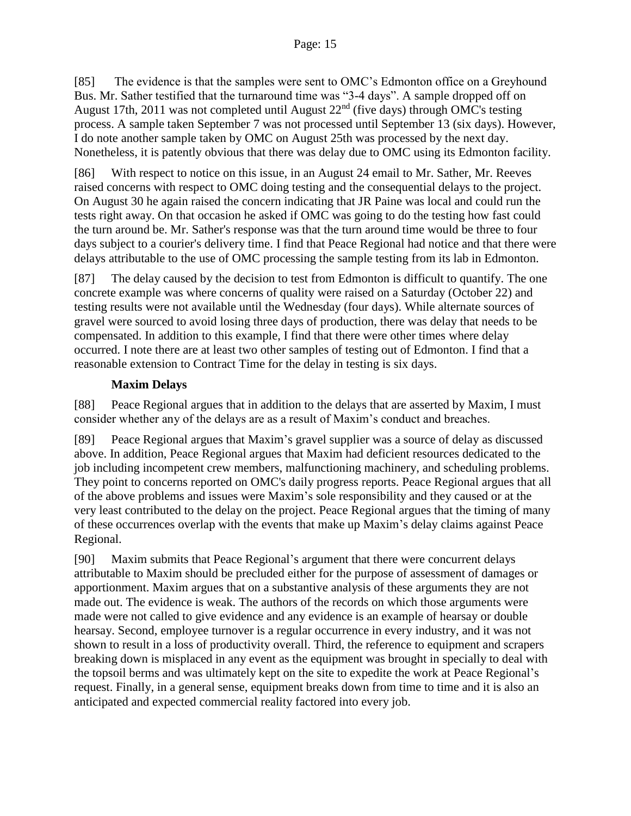[85] The evidence is that the samples were sent to OMC's Edmonton office on a Greyhound Bus. Mr. Sather testified that the turnaround time was "3-4 days". A sample dropped off on August 17th, 2011 was not completed until August  $22<sup>nd</sup>$  (five days) through OMC's testing process. A sample taken September 7 was not processed until September 13 (six days). However, I do note another sample taken by OMC on August 25th was processed by the next day. Nonetheless, it is patently obvious that there was delay due to OMC using its Edmonton facility.

[86] With respect to notice on this issue, in an August 24 email to Mr. Sather, Mr. Reeves raised concerns with respect to OMC doing testing and the consequential delays to the project. On August 30 he again raised the concern indicating that JR Paine was local and could run the tests right away. On that occasion he asked if OMC was going to do the testing how fast could the turn around be. Mr. Sather's response was that the turn around time would be three to four days subject to a courier's delivery time. I find that Peace Regional had notice and that there were delays attributable to the use of OMC processing the sample testing from its lab in Edmonton.

[87] The delay caused by the decision to test from Edmonton is difficult to quantify. The one concrete example was where concerns of quality were raised on a Saturday (October 22) and testing results were not available until the Wednesday (four days). While alternate sources of gravel were sourced to avoid losing three days of production, there was delay that needs to be compensated. In addition to this example, I find that there were other times where delay occurred. I note there are at least two other samples of testing out of Edmonton. I find that a reasonable extension to Contract Time for the delay in testing is six days.

### **Maxim Delays**

[88] Peace Regional argues that in addition to the delays that are asserted by Maxim, I must consider whether any of the delays are as a result of Maxim's conduct and breaches.

[89] Peace Regional argues that Maxim's gravel supplier was a source of delay as discussed above. In addition, Peace Regional argues that Maxim had deficient resources dedicated to the job including incompetent crew members, malfunctioning machinery, and scheduling problems. They point to concerns reported on OMC's daily progress reports. Peace Regional argues that all of the above problems and issues were Maxim's sole responsibility and they caused or at the very least contributed to the delay on the project. Peace Regional argues that the timing of many of these occurrences overlap with the events that make up Maxim's delay claims against Peace Regional.

[90] Maxim submits that Peace Regional's argument that there were concurrent delays attributable to Maxim should be precluded either for the purpose of assessment of damages or apportionment. Maxim argues that on a substantive analysis of these arguments they are not made out. The evidence is weak. The authors of the records on which those arguments were made were not called to give evidence and any evidence is an example of hearsay or double hearsay. Second, employee turnover is a regular occurrence in every industry, and it was not shown to result in a loss of productivity overall. Third, the reference to equipment and scrapers breaking down is misplaced in any event as the equipment was brought in specially to deal with the topsoil berms and was ultimately kept on the site to expedite the work at Peace Regional's request. Finally, in a general sense, equipment breaks down from time to time and it is also an anticipated and expected commercial reality factored into every job.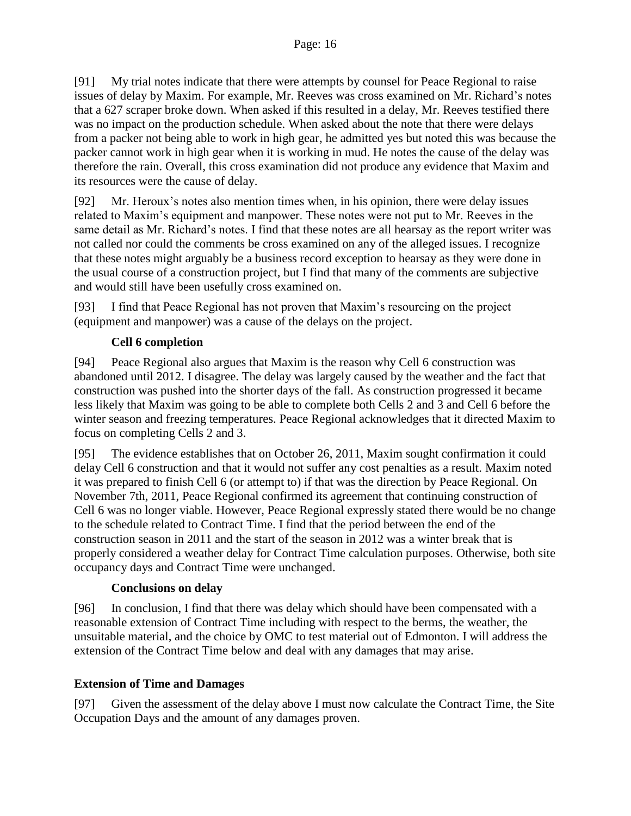[91] My trial notes indicate that there were attempts by counsel for Peace Regional to raise issues of delay by Maxim. For example, Mr. Reeves was cross examined on Mr. Richard's notes that a 627 scraper broke down. When asked if this resulted in a delay, Mr. Reeves testified there was no impact on the production schedule. When asked about the note that there were delays from a packer not being able to work in high gear, he admitted yes but noted this was because the packer cannot work in high gear when it is working in mud. He notes the cause of the delay was therefore the rain. Overall, this cross examination did not produce any evidence that Maxim and its resources were the cause of delay.

[92] Mr. Heroux's notes also mention times when, in his opinion, there were delay issues related to Maxim's equipment and manpower. These notes were not put to Mr. Reeves in the same detail as Mr. Richard's notes. I find that these notes are all hearsay as the report writer was not called nor could the comments be cross examined on any of the alleged issues. I recognize that these notes might arguably be a business record exception to hearsay as they were done in the usual course of a construction project, but I find that many of the comments are subjective and would still have been usefully cross examined on.

[93] I find that Peace Regional has not proven that Maxim's resourcing on the project (equipment and manpower) was a cause of the delays on the project.

### **Cell 6 completion**

[94] Peace Regional also argues that Maxim is the reason why Cell 6 construction was abandoned until 2012. I disagree. The delay was largely caused by the weather and the fact that construction was pushed into the shorter days of the fall. As construction progressed it became less likely that Maxim was going to be able to complete both Cells 2 and 3 and Cell 6 before the winter season and freezing temperatures. Peace Regional acknowledges that it directed Maxim to focus on completing Cells 2 and 3.

[95] The evidence establishes that on October 26, 2011, Maxim sought confirmation it could delay Cell 6 construction and that it would not suffer any cost penalties as a result. Maxim noted it was prepared to finish Cell 6 (or attempt to) if that was the direction by Peace Regional. On November 7th, 2011, Peace Regional confirmed its agreement that continuing construction of Cell 6 was no longer viable. However, Peace Regional expressly stated there would be no change to the schedule related to Contract Time. I find that the period between the end of the construction season in 2011 and the start of the season in 2012 was a winter break that is properly considered a weather delay for Contract Time calculation purposes. Otherwise, both site occupancy days and Contract Time were unchanged.

### **Conclusions on delay**

[96] In conclusion, I find that there was delay which should have been compensated with a reasonable extension of Contract Time including with respect to the berms, the weather, the unsuitable material, and the choice by OMC to test material out of Edmonton. I will address the extension of the Contract Time below and deal with any damages that may arise.

### **Extension of Time and Damages**

[97] Given the assessment of the delay above I must now calculate the Contract Time, the Site Occupation Days and the amount of any damages proven.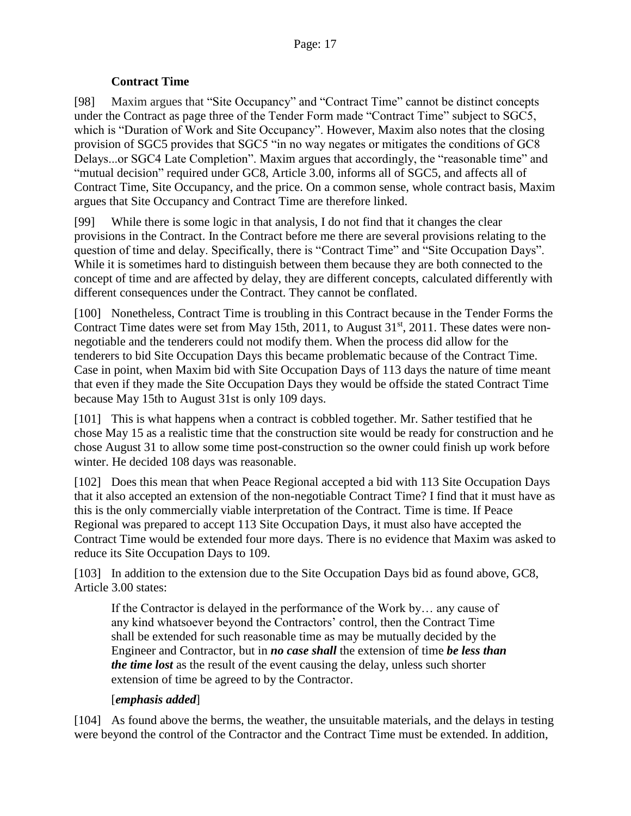#### **Contract Time**

[98] Maxim argues that "Site Occupancy" and "Contract Time" cannot be distinct concepts under the Contract as page three of the Tender Form made "Contract Time" subject to SGC5, which is "Duration of Work and Site Occupancy". However, Maxim also notes that the closing provision of SGC5 provides that SGC5 "in no way negates or mitigates the conditions of GC8 Delays...or SGC4 Late Completion". Maxim argues that accordingly, the "reasonable time" and "mutual decision" required under GC8, Article 3.00, informs all of SGC5, and affects all of Contract Time, Site Occupancy, and the price. On a common sense, whole contract basis, Maxim argues that Site Occupancy and Contract Time are therefore linked.

[99] While there is some logic in that analysis, I do not find that it changes the clear provisions in the Contract. In the Contract before me there are several provisions relating to the question of time and delay. Specifically, there is "Contract Time" and "Site Occupation Days". While it is sometimes hard to distinguish between them because they are both connected to the concept of time and are affected by delay, they are different concepts, calculated differently with different consequences under the Contract. They cannot be conflated.

[100] Nonetheless, Contract Time is troubling in this Contract because in the Tender Forms the Contract Time dates were set from May 15th, 2011, to August 31<sup>st</sup>, 2011. These dates were nonnegotiable and the tenderers could not modify them. When the process did allow for the tenderers to bid Site Occupation Days this became problematic because of the Contract Time. Case in point, when Maxim bid with Site Occupation Days of 113 days the nature of time meant that even if they made the Site Occupation Days they would be offside the stated Contract Time because May 15th to August 31st is only 109 days.

[101] This is what happens when a contract is cobbled together. Mr. Sather testified that he chose May 15 as a realistic time that the construction site would be ready for construction and he chose August 31 to allow some time post-construction so the owner could finish up work before winter. He decided 108 days was reasonable.

[102] Does this mean that when Peace Regional accepted a bid with 113 Site Occupation Days that it also accepted an extension of the non-negotiable Contract Time? I find that it must have as this is the only commercially viable interpretation of the Contract. Time is time. If Peace Regional was prepared to accept 113 Site Occupation Days, it must also have accepted the Contract Time would be extended four more days. There is no evidence that Maxim was asked to reduce its Site Occupation Days to 109.

[103] In addition to the extension due to the Site Occupation Days bid as found above, GC8, Article 3.00 states:

If the Contractor is delayed in the performance of the Work by… any cause of any kind whatsoever beyond the Contractors' control, then the Contract Time shall be extended for such reasonable time as may be mutually decided by the Engineer and Contractor, but in *no case shall* the extension of time *be less than the time lost* as the result of the event causing the delay, unless such shorter extension of time be agreed to by the Contractor.

#### [*emphasis added*]

[104] As found above the berms, the weather, the unsuitable materials, and the delays in testing were beyond the control of the Contractor and the Contract Time must be extended. In addition,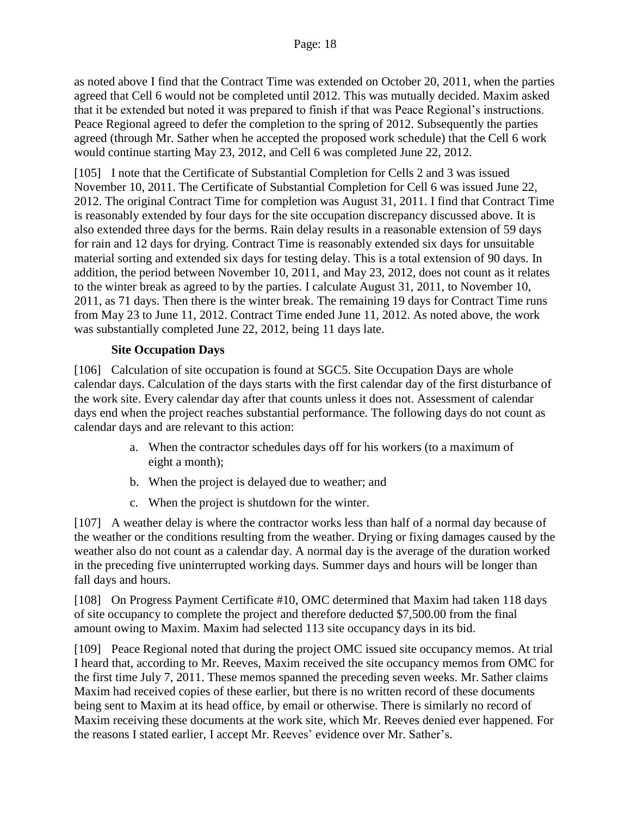as noted above I find that the Contract Time was extended on October 20, 2011, when the parties agreed that Cell 6 would not be completed until 2012. This was mutually decided. Maxim asked that it be extended but noted it was prepared to finish if that was Peace Regional's instructions. Peace Regional agreed to defer the completion to the spring of 2012. Subsequently the parties agreed (through Mr. Sather when he accepted the proposed work schedule) that the Cell 6 work would continue starting May 23, 2012, and Cell 6 was completed June 22, 2012.

[105] I note that the Certificate of Substantial Completion for Cells 2 and 3 was issued November 10, 2011. The Certificate of Substantial Completion for Cell 6 was issued June 22, 2012. The original Contract Time for completion was August 31, 2011. I find that Contract Time is reasonably extended by four days for the site occupation discrepancy discussed above. It is also extended three days for the berms. Rain delay results in a reasonable extension of 59 days for rain and 12 days for drying. Contract Time is reasonably extended six days for unsuitable material sorting and extended six days for testing delay. This is a total extension of 90 days. In addition, the period between November 10, 2011, and May 23, 2012, does not count as it relates to the winter break as agreed to by the parties. I calculate August 31, 2011, to November 10, 2011, as 71 days. Then there is the winter break. The remaining 19 days for Contract Time runs from May 23 to June 11, 2012. Contract Time ended June 11, 2012. As noted above, the work was substantially completed June 22, 2012, being 11 days late.

#### **Site Occupation Days**

[106] Calculation of site occupation is found at SGC5. Site Occupation Days are whole calendar days. Calculation of the days starts with the first calendar day of the first disturbance of the work site. Every calendar day after that counts unless it does not. Assessment of calendar days end when the project reaches substantial performance. The following days do not count as calendar days and are relevant to this action:

- a. When the contractor schedules days off for his workers (to a maximum of eight a month);
- b. When the project is delayed due to weather; and
- c. When the project is shutdown for the winter.

[107] A weather delay is where the contractor works less than half of a normal day because of the weather or the conditions resulting from the weather. Drying or fixing damages caused by the weather also do not count as a calendar day. A normal day is the average of the duration worked in the preceding five uninterrupted working days. Summer days and hours will be longer than fall days and hours.

[108] On Progress Payment Certificate #10, OMC determined that Maxim had taken 118 days of site occupancy to complete the project and therefore deducted \$7,500.00 from the final amount owing to Maxim. Maxim had selected 113 site occupancy days in its bid.

[109] Peace Regional noted that during the project OMC issued site occupancy memos. At trial I heard that, according to Mr. Reeves, Maxim received the site occupancy memos from OMC for the first time July 7, 2011. These memos spanned the preceding seven weeks. Mr. Sather claims Maxim had received copies of these earlier, but there is no written record of these documents being sent to Maxim at its head office, by email or otherwise. There is similarly no record of Maxim receiving these documents at the work site, which Mr. Reeves denied ever happened. For the reasons I stated earlier, I accept Mr. Reeves' evidence over Mr. Sather's.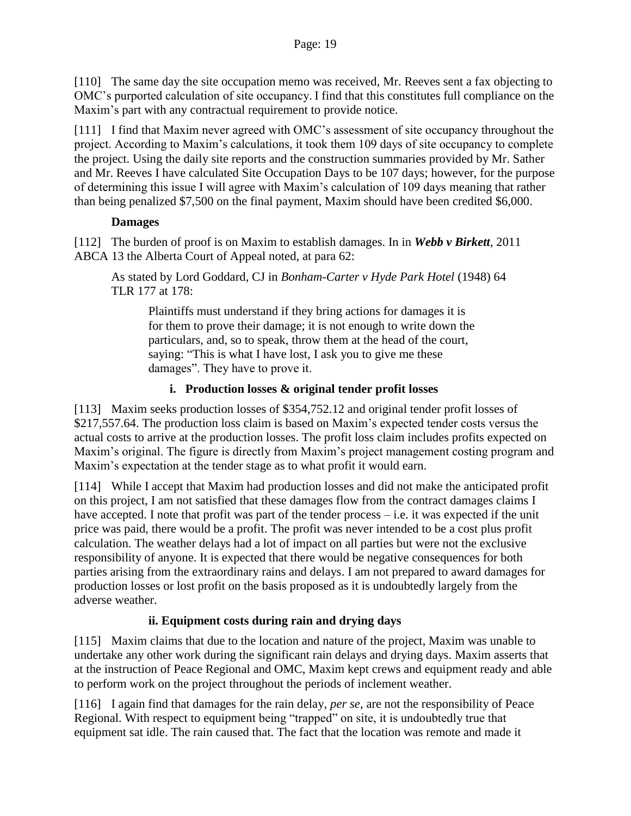[110] The same day the site occupation memo was received, Mr. Reeves sent a fax objecting to OMC's purported calculation of site occupancy. I find that this constitutes full compliance on the Maxim's part with any contractual requirement to provide notice.

[111] I find that Maxim never agreed with OMC's assessment of site occupancy throughout the project. According to Maxim's calculations, it took them 109 days of site occupancy to complete the project. Using the daily site reports and the construction summaries provided by Mr. Sather and Mr. Reeves I have calculated Site Occupation Days to be 107 days; however, for the purpose of determining this issue I will agree with Maxim's calculation of 109 days meaning that rather than being penalized \$7,500 on the final payment, Maxim should have been credited \$6,000.

### **Damages**

[112] The burden of proof is on Maxim to establish damages. In in *Webb v Birkett*, 2011 ABCA 13 the Alberta Court of Appeal noted, at para 62:

As stated by Lord Goddard, CJ in *Bonham-Carter v Hyde Park Hotel* (1948) 64 TLR 177 at 178:

Plaintiffs must understand if they bring actions for damages it is for them to prove their damage; it is not enough to write down the particulars, and, so to speak, throw them at the head of the court, saying: "This is what I have lost, I ask you to give me these damages". They have to prove it.

## **i. Production losses & original tender profit losses**

[113] Maxim seeks production losses of \$354,752.12 and original tender profit losses of \$217,557.64. The production loss claim is based on Maxim's expected tender costs versus the actual costs to arrive at the production losses. The profit loss claim includes profits expected on Maxim's original. The figure is directly from Maxim's project management costing program and Maxim's expectation at the tender stage as to what profit it would earn.

[114] While I accept that Maxim had production losses and did not make the anticipated profit on this project, I am not satisfied that these damages flow from the contract damages claims I have accepted. I note that profit was part of the tender process – i.e. it was expected if the unit price was paid, there would be a profit. The profit was never intended to be a cost plus profit calculation. The weather delays had a lot of impact on all parties but were not the exclusive responsibility of anyone. It is expected that there would be negative consequences for both parties arising from the extraordinary rains and delays. I am not prepared to award damages for production losses or lost profit on the basis proposed as it is undoubtedly largely from the adverse weather.

# **ii. Equipment costs during rain and drying days**

[115] Maxim claims that due to the location and nature of the project, Maxim was unable to undertake any other work during the significant rain delays and drying days. Maxim asserts that at the instruction of Peace Regional and OMC, Maxim kept crews and equipment ready and able to perform work on the project throughout the periods of inclement weather.

[116] I again find that damages for the rain delay, *per se*, are not the responsibility of Peace Regional. With respect to equipment being "trapped" on site, it is undoubtedly true that equipment sat idle. The rain caused that. The fact that the location was remote and made it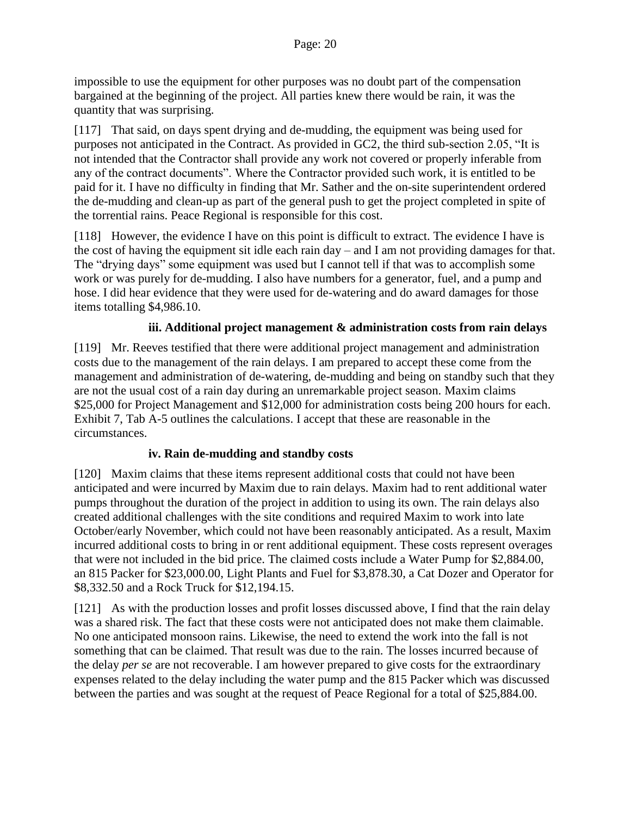impossible to use the equipment for other purposes was no doubt part of the compensation bargained at the beginning of the project. All parties knew there would be rain, it was the quantity that was surprising.

[117] That said, on days spent drying and de-mudding, the equipment was being used for purposes not anticipated in the Contract. As provided in GC2, the third sub-section 2.05, "It is not intended that the Contractor shall provide any work not covered or properly inferable from any of the contract documents". Where the Contractor provided such work, it is entitled to be paid for it. I have no difficulty in finding that Mr. Sather and the on-site superintendent ordered the de-mudding and clean-up as part of the general push to get the project completed in spite of the torrential rains. Peace Regional is responsible for this cost.

[118] However, the evidence I have on this point is difficult to extract. The evidence I have is the cost of having the equipment sit idle each rain day – and I am not providing damages for that. The "drying days" some equipment was used but I cannot tell if that was to accomplish some work or was purely for de-mudding. I also have numbers for a generator, fuel, and a pump and hose. I did hear evidence that they were used for de-watering and do award damages for those items totalling \$4,986.10.

#### **iii. Additional project management & administration costs from rain delays**

[119] Mr. Reeves testified that there were additional project management and administration costs due to the management of the rain delays. I am prepared to accept these come from the management and administration of de-watering, de-mudding and being on standby such that they are not the usual cost of a rain day during an unremarkable project season. Maxim claims \$25,000 for Project Management and \$12,000 for administration costs being 200 hours for each. Exhibit 7, Tab A-5 outlines the calculations. I accept that these are reasonable in the circumstances.

#### **iv. Rain de-mudding and standby costs**

[120] Maxim claims that these items represent additional costs that could not have been anticipated and were incurred by Maxim due to rain delays. Maxim had to rent additional water pumps throughout the duration of the project in addition to using its own. The rain delays also created additional challenges with the site conditions and required Maxim to work into late October/early November, which could not have been reasonably anticipated. As a result, Maxim incurred additional costs to bring in or rent additional equipment. These costs represent overages that were not included in the bid price. The claimed costs include a Water Pump for \$2,884.00, an 815 Packer for \$23,000.00, Light Plants and Fuel for \$3,878.30, a Cat Dozer and Operator for \$8,332.50 and a Rock Truck for \$12,194.15.

[121] As with the production losses and profit losses discussed above, I find that the rain delay was a shared risk. The fact that these costs were not anticipated does not make them claimable. No one anticipated monsoon rains. Likewise, the need to extend the work into the fall is not something that can be claimed. That result was due to the rain. The losses incurred because of the delay *per se* are not recoverable. I am however prepared to give costs for the extraordinary expenses related to the delay including the water pump and the 815 Packer which was discussed between the parties and was sought at the request of Peace Regional for a total of \$25,884.00.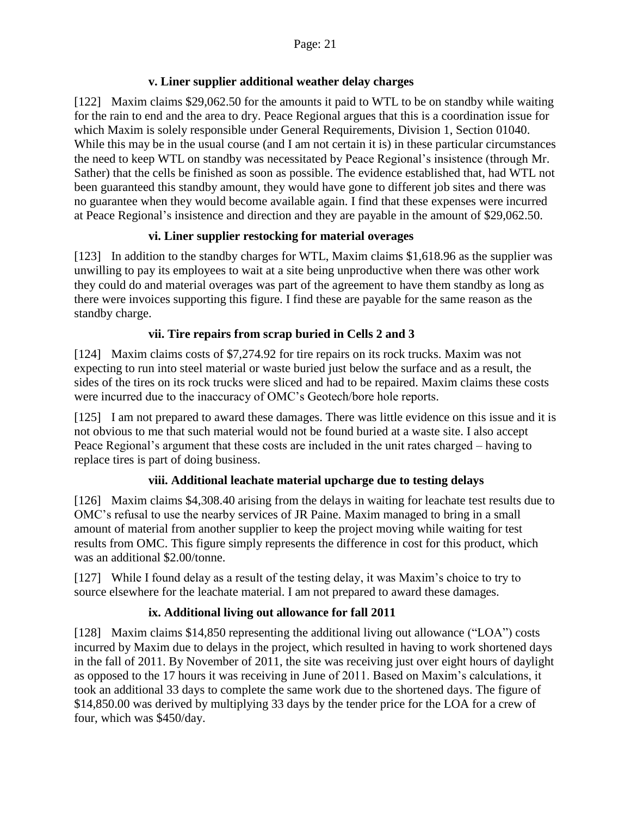### **v. Liner supplier additional weather delay charges**

[122] Maxim claims \$29,062.50 for the amounts it paid to WTL to be on standby while waiting for the rain to end and the area to dry. Peace Regional argues that this is a coordination issue for which Maxim is solely responsible under General Requirements, Division 1, Section 01040. While this may be in the usual course (and I am not certain it is) in these particular circumstances the need to keep WTL on standby was necessitated by Peace Regional's insistence (through Mr. Sather) that the cells be finished as soon as possible. The evidence established that, had WTL not been guaranteed this standby amount, they would have gone to different job sites and there was no guarantee when they would become available again. I find that these expenses were incurred at Peace Regional's insistence and direction and they are payable in the amount of \$29,062.50.

### **vi. Liner supplier restocking for material overages**

[123] In addition to the standby charges for WTL, Maxim claims \$1,618.96 as the supplier was unwilling to pay its employees to wait at a site being unproductive when there was other work they could do and material overages was part of the agreement to have them standby as long as there were invoices supporting this figure. I find these are payable for the same reason as the standby charge.

### **vii. Tire repairs from scrap buried in Cells 2 and 3**

[124] Maxim claims costs of \$7,274.92 for tire repairs on its rock trucks. Maxim was not expecting to run into steel material or waste buried just below the surface and as a result, the sides of the tires on its rock trucks were sliced and had to be repaired. Maxim claims these costs were incurred due to the inaccuracy of OMC's Geotech/bore hole reports.

[125] I am not prepared to award these damages. There was little evidence on this issue and it is not obvious to me that such material would not be found buried at a waste site. I also accept Peace Regional's argument that these costs are included in the unit rates charged – having to replace tires is part of doing business.

### **viii. Additional leachate material upcharge due to testing delays**

[126] Maxim claims \$4,308.40 arising from the delays in waiting for leachate test results due to OMC's refusal to use the nearby services of JR Paine. Maxim managed to bring in a small amount of material from another supplier to keep the project moving while waiting for test results from OMC. This figure simply represents the difference in cost for this product, which was an additional \$2.00/tonne.

[127] While I found delay as a result of the testing delay, it was Maxim's choice to try to source elsewhere for the leachate material. I am not prepared to award these damages.

# **ix. Additional living out allowance for fall 2011**

[128] Maxim claims \$14,850 representing the additional living out allowance ("LOA") costs incurred by Maxim due to delays in the project, which resulted in having to work shortened days in the fall of 2011. By November of 2011, the site was receiving just over eight hours of daylight as opposed to the 17 hours it was receiving in June of 2011. Based on Maxim's calculations, it took an additional 33 days to complete the same work due to the shortened days. The figure of \$14,850.00 was derived by multiplying 33 days by the tender price for the LOA for a crew of four, which was \$450/day.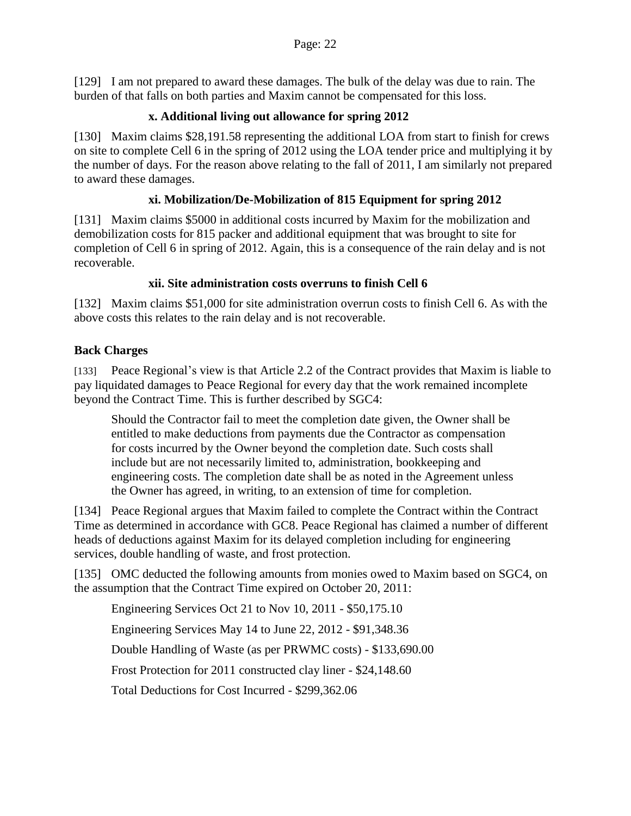[129] I am not prepared to award these damages. The bulk of the delay was due to rain. The burden of that falls on both parties and Maxim cannot be compensated for this loss.

### **x. Additional living out allowance for spring 2012**

[130] Maxim claims \$28,191.58 representing the additional LOA from start to finish for crews on site to complete Cell 6 in the spring of 2012 using the LOA tender price and multiplying it by the number of days. For the reason above relating to the fall of 2011, I am similarly not prepared to award these damages.

#### **xi. Mobilization/De-Mobilization of 815 Equipment for spring 2012**

[131] Maxim claims \$5000 in additional costs incurred by Maxim for the mobilization and demobilization costs for 815 packer and additional equipment that was brought to site for completion of Cell 6 in spring of 2012. Again, this is a consequence of the rain delay and is not recoverable.

#### **xii. Site administration costs overruns to finish Cell 6**

[132] Maxim claims \$51,000 for site administration overrun costs to finish Cell 6. As with the above costs this relates to the rain delay and is not recoverable.

### **Back Charges**

[133] Peace Regional's view is that Article 2.2 of the Contract provides that Maxim is liable to pay liquidated damages to Peace Regional for every day that the work remained incomplete beyond the Contract Time. This is further described by SGC4:

Should the Contractor fail to meet the completion date given, the Owner shall be entitled to make deductions from payments due the Contractor as compensation for costs incurred by the Owner beyond the completion date. Such costs shall include but are not necessarily limited to, administration, bookkeeping and engineering costs. The completion date shall be as noted in the Agreement unless the Owner has agreed, in writing, to an extension of time for completion.

[134] Peace Regional argues that Maxim failed to complete the Contract within the Contract Time as determined in accordance with GC8. Peace Regional has claimed a number of different heads of deductions against Maxim for its delayed completion including for engineering services, double handling of waste, and frost protection.

[135] OMC deducted the following amounts from monies owed to Maxim based on SGC4, on the assumption that the Contract Time expired on October 20, 2011:

Engineering Services Oct 21 to Nov 10, 2011 - \$50,175.10

Engineering Services May 14 to June 22, 2012 - \$91,348.36

Double Handling of Waste (as per PRWMC costs) - \$133,690.00

Frost Protection for 2011 constructed clay liner - \$24,148.60

Total Deductions for Cost Incurred - \$299,362.06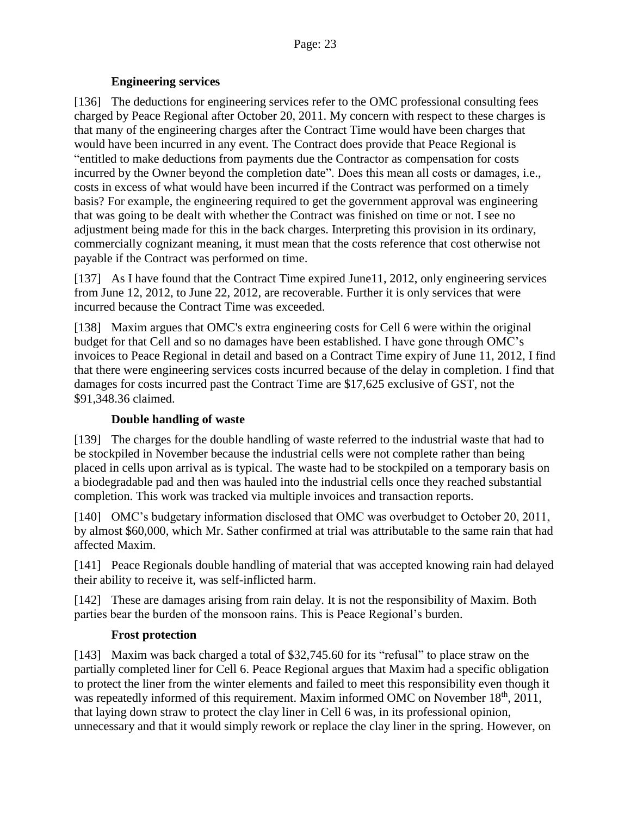#### **Engineering services**

[136] The deductions for engineering services refer to the OMC professional consulting fees charged by Peace Regional after October 20, 2011. My concern with respect to these charges is that many of the engineering charges after the Contract Time would have been charges that would have been incurred in any event. The Contract does provide that Peace Regional is "entitled to make deductions from payments due the Contractor as compensation for costs incurred by the Owner beyond the completion date". Does this mean all costs or damages, i.e., costs in excess of what would have been incurred if the Contract was performed on a timely basis? For example, the engineering required to get the government approval was engineering that was going to be dealt with whether the Contract was finished on time or not. I see no adjustment being made for this in the back charges. Interpreting this provision in its ordinary, commercially cognizant meaning, it must mean that the costs reference that cost otherwise not payable if the Contract was performed on time.

[137] As I have found that the Contract Time expired June11, 2012, only engineering services from June 12, 2012, to June 22, 2012, are recoverable. Further it is only services that were incurred because the Contract Time was exceeded.

[138] Maxim argues that OMC's extra engineering costs for Cell 6 were within the original budget for that Cell and so no damages have been established. I have gone through OMC's invoices to Peace Regional in detail and based on a Contract Time expiry of June 11, 2012, I find that there were engineering services costs incurred because of the delay in completion. I find that damages for costs incurred past the Contract Time are \$17,625 exclusive of GST, not the \$91,348.36 claimed.

#### **Double handling of waste**

[139] The charges for the double handling of waste referred to the industrial waste that had to be stockpiled in November because the industrial cells were not complete rather than being placed in cells upon arrival as is typical. The waste had to be stockpiled on a temporary basis on a biodegradable pad and then was hauled into the industrial cells once they reached substantial completion. This work was tracked via multiple invoices and transaction reports.

[140] OMC's budgetary information disclosed that OMC was overbudget to October 20, 2011, by almost \$60,000, which Mr. Sather confirmed at trial was attributable to the same rain that had affected Maxim.

[141] Peace Regionals double handling of material that was accepted knowing rain had delayed their ability to receive it, was self-inflicted harm.

[142] These are damages arising from rain delay. It is not the responsibility of Maxim. Both parties bear the burden of the monsoon rains. This is Peace Regional's burden.

#### **Frost protection**

[143] Maxim was back charged a total of \$32,745.60 for its "refusal" to place straw on the partially completed liner for Cell 6. Peace Regional argues that Maxim had a specific obligation to protect the liner from the winter elements and failed to meet this responsibility even though it was repeatedly informed of this requirement. Maxim informed OMC on November  $18<sup>th</sup>$ , 2011, that laying down straw to protect the clay liner in Cell 6 was, in its professional opinion, unnecessary and that it would simply rework or replace the clay liner in the spring. However, on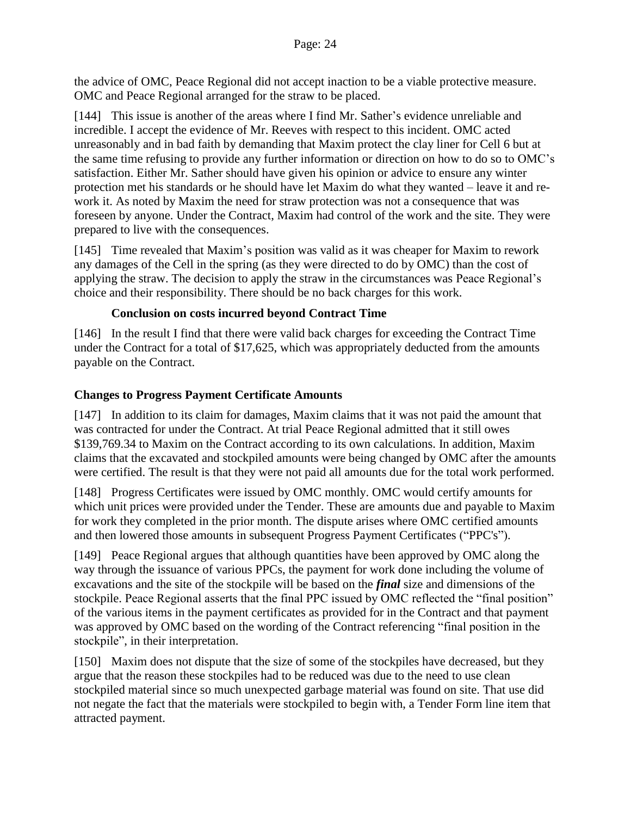the advice of OMC, Peace Regional did not accept inaction to be a viable protective measure. OMC and Peace Regional arranged for the straw to be placed.

[144] This issue is another of the areas where I find Mr. Sather's evidence unreliable and incredible. I accept the evidence of Mr. Reeves with respect to this incident. OMC acted unreasonably and in bad faith by demanding that Maxim protect the clay liner for Cell 6 but at the same time refusing to provide any further information or direction on how to do so to OMC's satisfaction. Either Mr. Sather should have given his opinion or advice to ensure any winter protection met his standards or he should have let Maxim do what they wanted – leave it and rework it. As noted by Maxim the need for straw protection was not a consequence that was foreseen by anyone. Under the Contract, Maxim had control of the work and the site. They were prepared to live with the consequences.

[145] Time revealed that Maxim's position was valid as it was cheaper for Maxim to rework any damages of the Cell in the spring (as they were directed to do by OMC) than the cost of applying the straw. The decision to apply the straw in the circumstances was Peace Regional's choice and their responsibility. There should be no back charges for this work.

#### **Conclusion on costs incurred beyond Contract Time**

[146] In the result I find that there were valid back charges for exceeding the Contract Time under the Contract for a total of \$17,625, which was appropriately deducted from the amounts payable on the Contract.

### **Changes to Progress Payment Certificate Amounts**

[147] In addition to its claim for damages, Maxim claims that it was not paid the amount that was contracted for under the Contract. At trial Peace Regional admitted that it still owes \$139,769.34 to Maxim on the Contract according to its own calculations. In addition, Maxim claims that the excavated and stockpiled amounts were being changed by OMC after the amounts were certified. The result is that they were not paid all amounts due for the total work performed.

[148] Progress Certificates were issued by OMC monthly. OMC would certify amounts for which unit prices were provided under the Tender. These are amounts due and payable to Maxim for work they completed in the prior month. The dispute arises where OMC certified amounts and then lowered those amounts in subsequent Progress Payment Certificates ("PPC's").

[149] Peace Regional argues that although quantities have been approved by OMC along the way through the issuance of various PPCs, the payment for work done including the volume of excavations and the site of the stockpile will be based on the *final* size and dimensions of the stockpile. Peace Regional asserts that the final PPC issued by OMC reflected the "final position" of the various items in the payment certificates as provided for in the Contract and that payment was approved by OMC based on the wording of the Contract referencing "final position in the stockpile", in their interpretation.

[150] Maxim does not dispute that the size of some of the stockpiles have decreased, but they argue that the reason these stockpiles had to be reduced was due to the need to use clean stockpiled material since so much unexpected garbage material was found on site. That use did not negate the fact that the materials were stockpiled to begin with, a Tender Form line item that attracted payment.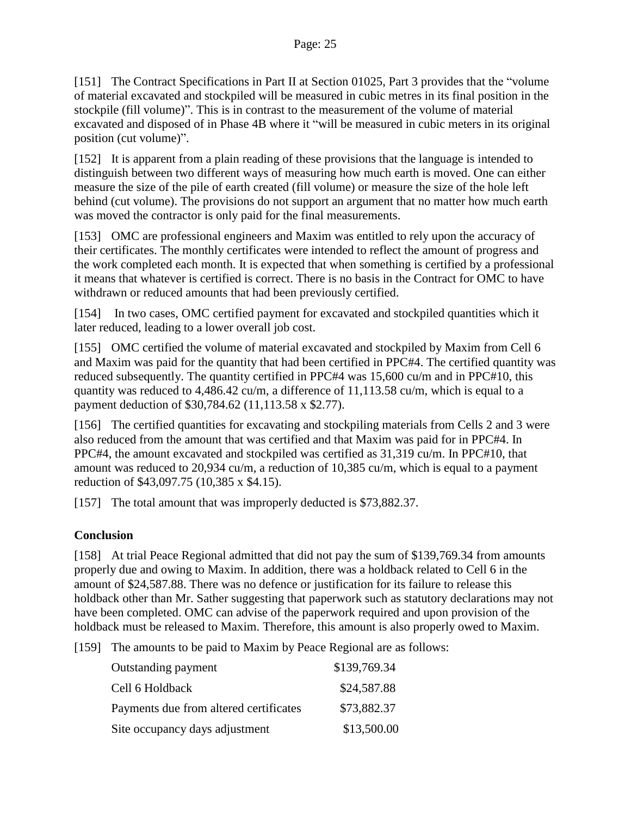[151] The Contract Specifications in Part II at Section 01025, Part 3 provides that the "volume of material excavated and stockpiled will be measured in cubic metres in its final position in the stockpile (fill volume)". This is in contrast to the measurement of the volume of material excavated and disposed of in Phase 4B where it "will be measured in cubic meters in its original position (cut volume)".

[152] It is apparent from a plain reading of these provisions that the language is intended to distinguish between two different ways of measuring how much earth is moved. One can either measure the size of the pile of earth created (fill volume) or measure the size of the hole left behind (cut volume). The provisions do not support an argument that no matter how much earth was moved the contractor is only paid for the final measurements.

[153] OMC are professional engineers and Maxim was entitled to rely upon the accuracy of their certificates. The monthly certificates were intended to reflect the amount of progress and the work completed each month. It is expected that when something is certified by a professional it means that whatever is certified is correct. There is no basis in the Contract for OMC to have withdrawn or reduced amounts that had been previously certified.

[154] In two cases, OMC certified payment for excavated and stockpiled quantities which it later reduced, leading to a lower overall job cost.

[155] OMC certified the volume of material excavated and stockpiled by Maxim from Cell 6 and Maxim was paid for the quantity that had been certified in PPC#4. The certified quantity was reduced subsequently. The quantity certified in PPC#4 was 15,600 cu/m and in PPC#10, this quantity was reduced to 4,486.42 cu/m, a difference of 11,113.58 cu/m, which is equal to a payment deduction of \$30,784.62 (11,113.58 x \$2.77).

[156] The certified quantities for excavating and stockpiling materials from Cells 2 and 3 were also reduced from the amount that was certified and that Maxim was paid for in PPC#4. In PPC#4, the amount excavated and stockpiled was certified as 31,319 cu/m. In PPC#10, that amount was reduced to 20,934 cu/m, a reduction of 10,385 cu/m, which is equal to a payment reduction of \$43,097.75 (10,385 x \$4.15).

[157] The total amount that was improperly deducted is \$73,882.37.

### **Conclusion**

[158] At trial Peace Regional admitted that did not pay the sum of \$139,769.34 from amounts properly due and owing to Maxim. In addition, there was a holdback related to Cell 6 in the amount of \$24,587.88. There was no defence or justification for its failure to release this holdback other than Mr. Sather suggesting that paperwork such as statutory declarations may not have been completed. OMC can advise of the paperwork required and upon provision of the holdback must be released to Maxim. Therefore, this amount is also properly owed to Maxim.

[159] The amounts to be paid to Maxim by Peace Regional are as follows:

| Outstanding payment                    | \$139,769.34 |
|----------------------------------------|--------------|
| Cell 6 Holdback                        | \$24,587.88  |
| Payments due from altered certificates | \$73,882.37  |
| Site occupancy days adjustment         | \$13,500.00  |